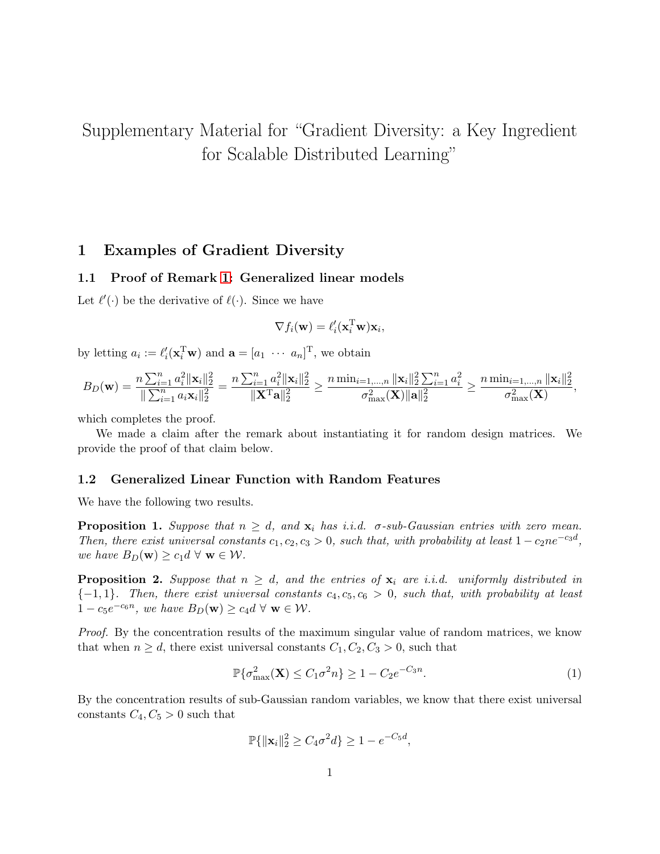# <span id="page-0-2"></span>Supplementary Material for "Gradient Diversity: a Key Ingredient for Scalable Distributed Learning"

## 1 Examples of Gradient Diversity

### <span id="page-0-3"></span>1.1 Proof of Remark 1: Generalized linear models

Let  $\ell'(\cdot)$  be the derivative of  $\ell(\cdot)$ . Since we have

$$
\nabla f_i(\mathbf{w}) = \ell_i'(\mathbf{x}_i^{\mathrm{T}} \mathbf{w}) \mathbf{x}_i,
$$

by letting  $a_i := \ell_i'(\mathbf{x}_i^T \mathbf{w})$  and  $\mathbf{a} = [a_1 \cdots a_n]^T$ , we obtain

$$
B_D(\mathbf{w}) = \frac{n \sum_{i=1}^n a_i^2 \|\mathbf{x}_i\|_2^2}{\|\sum_{i=1}^n a_i \mathbf{x}_i\|_2^2} = \frac{n \sum_{i=1}^n a_i^2 \|\mathbf{x}_i\|_2^2}{\|\mathbf{X}^T \mathbf{a}\|_2^2} \ge \frac{n \min_{i=1,\dots,n} \|\mathbf{x}_i\|_2^2 \sum_{i=1}^n a_i^2}{\sigma_{\max}^2(\mathbf{X}) \|\mathbf{a}\|_2^2} \ge \frac{n \min_{i=1,\dots,n} \|\mathbf{x}_i\|_2^2}{\sigma_{\max}^2(\mathbf{X})},
$$

which completes the proof.

We made a claim after the remark about instantiating it for random design matrices. We provide the proof of that claim below.

#### 1.2 Generalized Linear Function with Random Features

We have the following two results.

**Proposition 1.** Suppose that  $n \geq d$ , and  $\mathbf{x}_i$  has i.i.d.  $\sigma$ -sub-Gaussian entries with zero mean. Then, there exist universal constants  $c_1, c_2, c_3 > 0$ , such that, with probability at least  $1 - c_2 n e^{-c_3 d}$ , we have  $B_D(\mathbf{w}) \ge c_1 d \forall \mathbf{w} \in \mathcal{W}$ .

<span id="page-0-1"></span>**Proposition 2.** Suppose that  $n \geq d$ , and the entries of  $\mathbf{x}_i$  are i.i.d. uniformly distributed in  ${-1, 1}.$  Then, there exist universal constants  $c_4, c_5, c_6 > 0$ , such that, with probability at least  $1 - c_5 e^{-c_6 n}$ , we have  $B_D(\mathbf{w}) \ge c_4 d \forall \mathbf{w} \in \mathcal{W}$ .

Proof. By the concentration results of the maximum singular value of random matrices, we know that when  $n \geq d$ , there exist universal constants  $C_1, C_2, C_3 > 0$ , such that

<span id="page-0-0"></span>
$$
\mathbb{P}\{\sigma_{\max}^2(\mathbf{X}) \le C_1 \sigma^2 n\} \ge 1 - C_2 e^{-C_3 n}.\tag{1}
$$

By the concentration results of sub-Gaussian random variables, we know that there exist universal constants  $C_4, C_5 > 0$  such that

$$
\mathbb{P}\{\|\mathbf{x}_i\|_2^2 \ge C_4\sigma^2 d\} \ge 1 - e^{-C_5 d},
$$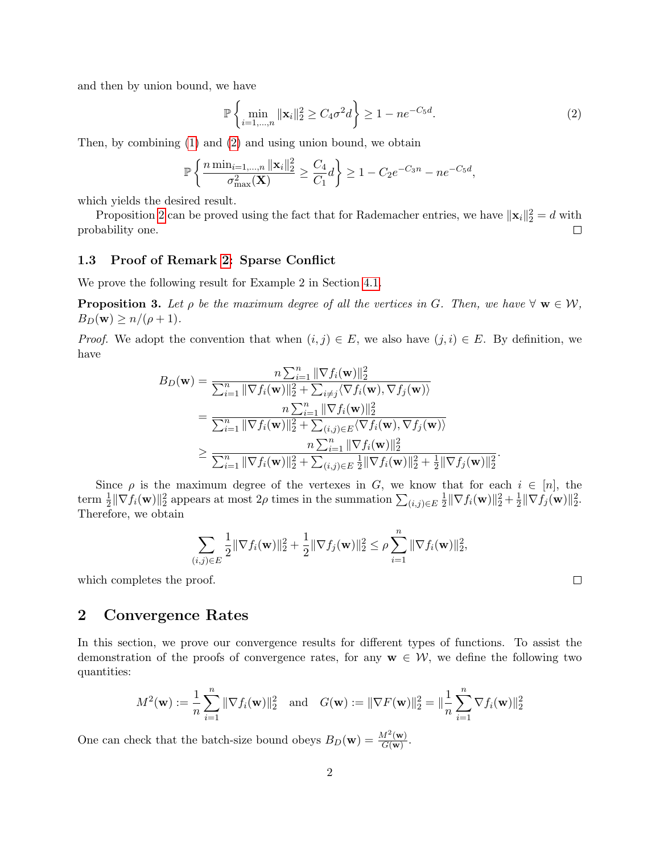and then by union bound, we have

<span id="page-1-0"></span>
$$
\mathbb{P}\left\{\min_{i=1,\dots,n} \|\mathbf{x}_i\|_2^2 \ge C_4 \sigma^2 d\right\} \ge 1 - n e^{-C_5 d}.\tag{2}
$$

.

 $\Box$ 

Then, by combining [\(1\)](#page-0-0) and [\(2\)](#page-1-0) and using union bound, we obtain

$$
\mathbb{P}\left\{\frac{n\min_{i=1,...,n} \|\mathbf{x}_i\|_2^2}{\sigma_{\max}^2(\mathbf{X})} \ge \frac{C_4}{C_1}d\right\} \ge 1-C_2e^{-C_3n}-ne^{-C_5d},
$$

which yields the desired result.

Proposition [2](#page-0-1) can be proved using the fact that for Rademacher entries, we have  $\|\mathbf{x}_i\|_2^2 = d$  with probability one.  $\Box$ 

## <span id="page-1-1"></span>1.3 Proof of Remark [2:](#page-0-2) Sparse Conflict

We prove the following result for Example 2 in Section [4.1.](#page-0-2)

**Proposition 3.** Let  $\rho$  be the maximum degree of all the vertices in G. Then, we have  $\forall$   $w \in W$ ,  $B_D(\mathbf{w}) \geq n/(\rho+1)$ .

*Proof.* We adopt the convention that when  $(i, j) \in E$ , we also have  $(j, i) \in E$ . By definition, we have

$$
B_D(\mathbf{w}) = \frac{n \sum_{i=1}^n \|\nabla f_i(\mathbf{w})\|_2^2}{\sum_{i=1}^n \|\nabla f_i(\mathbf{w})\|_2^2 + \sum_{i \neq j} \langle \nabla f_i(\mathbf{w}), \nabla f_j(\mathbf{w}) \rangle}
$$
  
\n
$$
= \frac{n \sum_{i=1}^n \|\nabla f_i(\mathbf{w})\|_2^2}{\sum_{i=1}^n \|\nabla f_i(\mathbf{w})\|_2^2 + \sum_{(i,j) \in E} \langle \nabla f_i(\mathbf{w}), \nabla f_j(\mathbf{w}) \rangle}
$$
  
\n
$$
\geq \frac{n \sum_{i=1}^n \|\nabla f_i(\mathbf{w})\|_2^2}{\sum_{i=1}^n \|\nabla f_i(\mathbf{w})\|_2^2 + \sum_{(i,j) \in E} \frac{1}{2} \|\nabla f_i(\mathbf{w})\|_2^2 + \frac{1}{2} \|\nabla f_j(\mathbf{w})\|_2^2}
$$

Since  $\rho$  is the maximum degree of the vertexes in G, we know that for each  $i \in [n]$ , the term  $\frac{1}{2} \|\nabla f_i(\mathbf{w})\|_2^2$  appears at most  $2\rho$  times in the summation  $\sum_{(i,j)\in E} \frac{1}{2}$  $\frac{1}{2} \|\nabla f_i(\mathbf{w})\|_2^2 + \frac{1}{2}$  $\frac{1}{2} \|\nabla f_j(\mathbf{w})\|_2^2.$ Therefore, we obtain

$$
\sum_{(i,j)\in E} \frac{1}{2} \|\nabla f_i(\mathbf{w})\|_2^2 + \frac{1}{2} \|\nabla f_j(\mathbf{w})\|_2^2 \le \rho \sum_{i=1}^n \|\nabla f_i(\mathbf{w})\|_2^2,
$$

which completes the proof.

## 2 Convergence Rates

In this section, we prove our convergence results for different types of functions. To assist the demonstration of the proofs of convergence rates, for any  $w \in \mathcal{W}$ , we define the following two quantities:

$$
M^{2}(\mathbf{w}) := \frac{1}{n} \sum_{i=1}^{n} \|\nabla f_{i}(\mathbf{w})\|_{2}^{2} \text{ and } G(\mathbf{w}) := \|\nabla F(\mathbf{w})\|_{2}^{2} = \|\frac{1}{n} \sum_{i=1}^{n} \nabla f_{i}(\mathbf{w})\|_{2}^{2}
$$

One can check that the batch-size bound obeys  $B_D(\mathbf{w}) = \frac{M^2(\mathbf{w})}{G(\mathbf{w})}$  $\frac{M^-(\mathbf{W})}{G(\mathbf{w})}$  .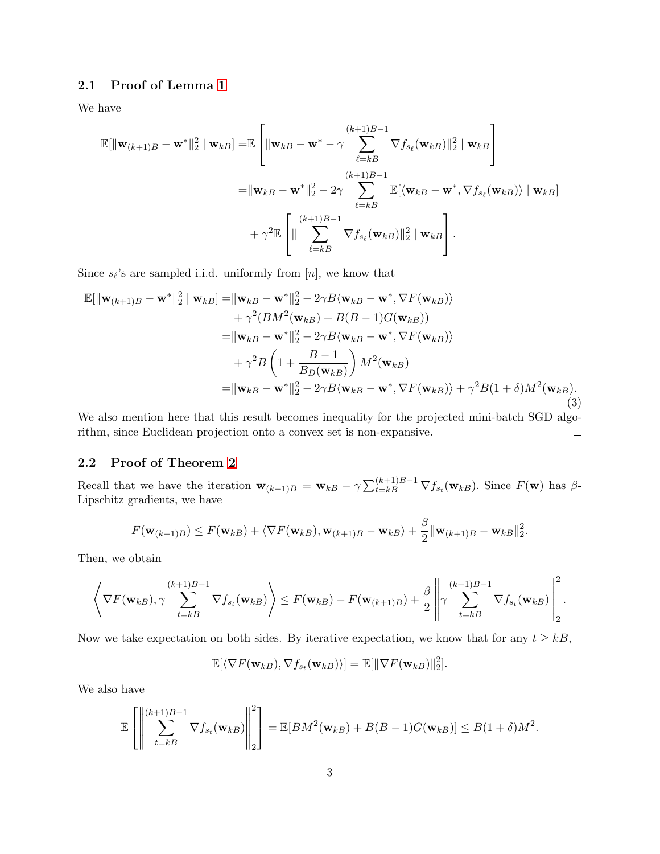## 2.1 Proof of Lemma [1](#page-0-2)

We have

$$
\mathbb{E}[\|\mathbf{w}_{(k+1)B} - \mathbf{w}^*\|_2^2 \mid \mathbf{w}_{kB}] = \mathbb{E}\left[\|\mathbf{w}_{kB} - \mathbf{w}^* - \gamma \sum_{\ell=kB}^{(k+1)B-1} \nabla f_{s_\ell}(\mathbf{w}_{kB})\|_2^2 \mid \mathbf{w}_{kB}\right]
$$
  
\n
$$
= \|\mathbf{w}_{kB} - \mathbf{w}^*\|_2^2 - 2\gamma \sum_{\ell=kB}^{(k+1)B-1} \mathbb{E}[\langle \mathbf{w}_{kB} - \mathbf{w}^*, \nabla f_{s_\ell}(\mathbf{w}_{kB}) \rangle \mid \mathbf{w}_{kB}]
$$
  
\n
$$
+ \gamma^2 \mathbb{E}\left[\|\sum_{\ell=kB}^{(k+1)B-1} \nabla f_{s_\ell}(\mathbf{w}_{kB})\|_2^2 \mid \mathbf{w}_{kB}\right].
$$

Since  $s_{\ell}$ 's are sampled i.i.d. uniformly from  $[n]$ , we know that

<span id="page-2-0"></span>
$$
\mathbb{E}[\|\mathbf{w}_{(k+1)B} - \mathbf{w}^*\|_2^2 | \mathbf{w}_{kB}] = \|\mathbf{w}_{kB} - \mathbf{w}^*\|_2^2 - 2\gamma B \langle \mathbf{w}_{kB} - \mathbf{w}^*, \nabla F(\mathbf{w}_{kB}) \rangle \n+ \gamma^2 (BM^2(\mathbf{w}_{kB}) + B(B-1)G(\mathbf{w}_{kB})) \n= \|\mathbf{w}_{kB} - \mathbf{w}^*\|_2^2 - 2\gamma B \langle \mathbf{w}_{kB} - \mathbf{w}^*, \nabla F(\mathbf{w}_{kB}) \rangle \n+ \gamma^2 B \left(1 + \frac{B-1}{B_D(\mathbf{w}_{kB})}\right) M^2(\mathbf{w}_{kB}) \n= \|\mathbf{w}_{kB} - \mathbf{w}^*\|_2^2 - 2\gamma B \langle \mathbf{w}_{kB} - \mathbf{w}^*, \nabla F(\mathbf{w}_{kB}) \rangle + \gamma^2 B (1+\delta) M^2(\mathbf{w}_{kB}).
$$
\n(3)

We also mention here that this result becomes inequality for the projected mini-batch SGD algorithm, since Euclidean projection onto a convex set is non-expansive.  $\Box$ 

## 2.2 Proof of Theorem [2](#page-0-2)

Recall that we have the iteration  $\mathbf{w}_{(k+1)B} = \mathbf{w}_{kB} - \gamma \sum_{t=k}^{(k+1)B-1} \nabla f_{s_t}(\mathbf{w}_{kB})$ . Since  $F(\mathbf{w})$  has  $\beta$ -Lipschitz gradients, we have

$$
F(\mathbf{w}_{(k+1)B}) \leq F(\mathbf{w}_{kB}) + \langle \nabla F(\mathbf{w}_{kB}), \mathbf{w}_{(k+1)B} - \mathbf{w}_{kB} \rangle + \frac{\beta}{2} \|\mathbf{w}_{(k+1)B} - \mathbf{w}_{kB}\|_2^2.
$$

Then, we obtain

$$
\left\langle \nabla F(\mathbf{w}_{kB}), \gamma \sum_{t=kB}^{(k+1)B-1} \nabla f_{s_t}(\mathbf{w}_{kB}) \right\rangle \leq F(\mathbf{w}_{kB}) - F(\mathbf{w}_{(k+1)B}) + \frac{\beta}{2} \left\| \gamma \sum_{t=kB}^{(k+1)B-1} \nabla f_{s_t}(\mathbf{w}_{kB}) \right\|_2^2.
$$

Now we take expectation on both sides. By iterative expectation, we know that for any  $t \geq kB$ ,

$$
\mathbb{E}[\langle \nabla F(\mathbf{w}_{kB}), \nabla f_{s_t}(\mathbf{w}_{kB}) \rangle] = \mathbb{E}[\|\nabla F(\mathbf{w}_{kB})\|_2^2].
$$

We also have

$$
\mathbb{E}\left[\left\|\sum_{t=kB}^{(k+1)B-1} \nabla f_{s_t}(\mathbf{w}_{k})\right\|_2^2\right] = \mathbb{E}[BM^2(\mathbf{w}_{k}) + B(B-1)G(\mathbf{w}_{k})] \leq B(1+\delta)M^2.
$$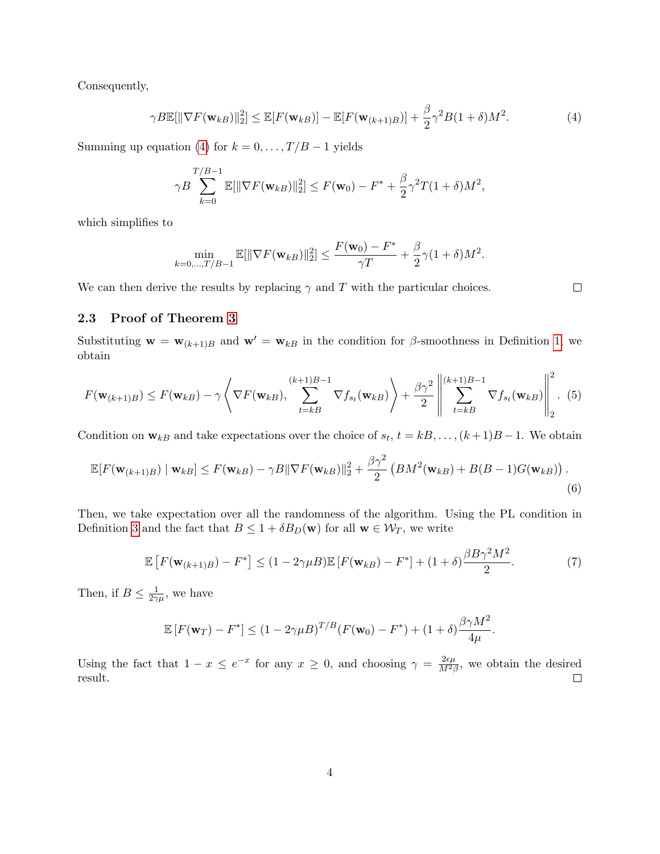Consequently,

<span id="page-3-0"></span>
$$
\gamma B \mathbb{E}[\|\nabla F(\mathbf{w}_{kB})\|_2^2] \le \mathbb{E}[F(\mathbf{w}_{kB})] - \mathbb{E}[F(\mathbf{w}_{(k+1)B})] + \frac{\beta}{2}\gamma^2 B(1+\delta)M^2. \tag{4}
$$

 $\Box$ 

Summing up equation [\(4\)](#page-3-0) for  $k = 0, \ldots, T/B - 1$  yields

$$
\gamma B \sum_{k=0}^{T/B-1} \mathbb{E}[\|\nabla F(\mathbf{w}_{kB})\|_2^2] \le F(\mathbf{w}_0) - F^* + \frac{\beta}{2} \gamma^2 T (1+\delta) M^2,
$$

which simplifies to

$$
\min_{k=0,\dots,T/B-1} \mathbb{E}[\|\nabla F(\mathbf{w}_{kB})\|_2^2] \le \frac{F(\mathbf{w}_0) - F^*}{\gamma T} + \frac{\beta}{2}\gamma(1+\delta)M^2.
$$

We can then derive the results by replacing  $\gamma$  and T with the particular choices.

## 2.3 Proof of Theorem [3](#page-0-2)

Substituting  $\mathbf{w} = \mathbf{w}_{(k+1)B}$  and  $\mathbf{w}' = \mathbf{w}_{kB}$  in the condition for  $\beta$ -smoothness in Definition [1,](#page-0-2) we obtain

$$
F(\mathbf{w}_{(k+1)B}) \leq F(\mathbf{w}_{kB}) - \gamma \left\langle \nabla F(\mathbf{w}_{kB}), \sum_{t=kB}^{(k+1)B-1} \nabla f_{s_t}(\mathbf{w}_{kB}) \right\rangle + \frac{\beta \gamma^2}{2} \left\| \sum_{t=kB}^{(k+1)B-1} \nabla f_{s_t}(\mathbf{w}_{kB}) \right\|_2^2.
$$
 (5)

Condition on  $\mathbf{w}_{kB}$  and take expectations over the choice of  $s_t$ ,  $t = kB, \ldots, (k+1)B-1$ . We obtain

$$
\mathbb{E}[F(\mathbf{w}_{(k+1)B}) \mid \mathbf{w}_{kB}] \le F(\mathbf{w}_{kB}) - \gamma B \|\nabla F(\mathbf{w}_{kB})\|_2^2 + \frac{\beta \gamma^2}{2} \left(BM^2(\mathbf{w}_{kB}) + B(B-1)G(\mathbf{w}_{kB})\right). \tag{6}
$$

Then, we take expectation over all the randomness of the algorithm. Using the PL condition in Definition [3](#page-0-2) and the fact that  $B \leq 1 + \delta B_D(\mathbf{w})$  for all  $\mathbf{w} \in \mathcal{W}_T$ , we write

$$
\mathbb{E}\left[F(\mathbf{w}_{(k+1)B}) - F^*\right] \le (1 - 2\gamma\mu B)\mathbb{E}\left[F(\mathbf{w}_{kB}) - F^*\right] + (1 + \delta)\frac{\beta B\gamma^2 M^2}{2}.\tag{7}
$$

Then, if  $B \leq \frac{1}{2\gamma}$  $\frac{1}{2\gamma\mu}$ , we have

$$
\mathbb{E}\left[F(\mathbf{w}_T) - F^*\right] \le (1 - 2\gamma \mu B)^{T/B} (F(\mathbf{w}_0) - F^*) + (1 + \delta) \frac{\beta \gamma M^2}{4\mu}.
$$

Using the fact that  $1-x \leq e^{-x}$  for any  $x \geq 0$ , and choosing  $\gamma = \frac{2\epsilon\mu}{M^2}$  $\frac{2\epsilon\mu}{M^2\beta}$ , we obtain the desired result.  $\Box$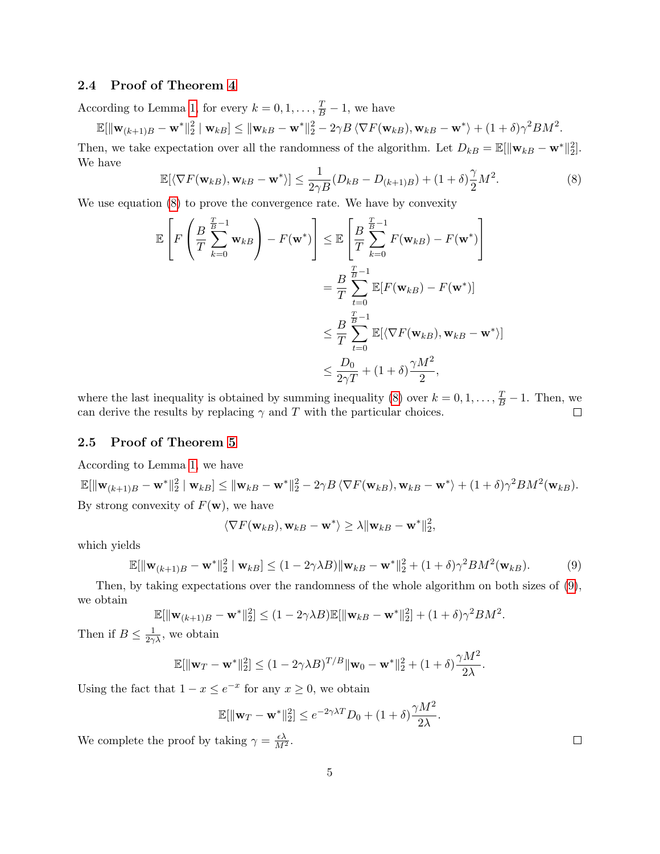## 2.4 Proof of Theorem [4](#page-0-2)

According to Lemma [1,](#page-0-2) for every  $k = 0, 1, \ldots, \frac{T}{B} - 1$ , we have

 $\mathbb{E}[\|\mathbf{w}_{(k+1)B} - \mathbf{w}^*\|_2^2\mid \mathbf{w}_{kB}] \leq \|\mathbf{w}_{kB} - \mathbf{w}^*\|_2^2 - 2\gamma B\left\langle \nabla F(\mathbf{w}_{kB}), \mathbf{w}_{kB} - \mathbf{w}^*\right\rangle + (1+\delta)\gamma^2 BM^2.$ 

Then, we take expectation over all the randomness of the algorithm. Let  $D_{kB} = \mathbb{E}[\|\mathbf{w}_{kB} - \mathbf{w}^*\|_2^2]$ . We have

<span id="page-4-0"></span>
$$
\mathbb{E}[\langle \nabla F(\mathbf{w}_{kB}), \mathbf{w}_{kB} - \mathbf{w}^* \rangle] \le \frac{1}{2\gamma B} (D_{kB} - D_{(k+1)B}) + (1+\delta) \frac{\gamma}{2} M^2.
$$
 (8)

We use equation [\(8\)](#page-4-0) to prove the convergence rate. We have by convexity

$$
\mathbb{E}\left[F\left(\frac{B}{T}\sum_{k=0}^{\frac{T}{B}-1}\mathbf{w}_{kB}\right) - F(\mathbf{w}^*)\right] \leq \mathbb{E}\left[\frac{B}{T}\sum_{k=0}^{\frac{T}{B}-1}F(\mathbf{w}_{kB}) - F(\mathbf{w}^*)\right] \n= \frac{B}{T}\sum_{t=0}^{\frac{T}{B}-1}\mathbb{E}[F(\mathbf{w}_{kB}) - F(\mathbf{w}^*)] \n\leq \frac{B}{T}\sum_{t=0}^{\frac{T}{B}-1}\mathbb{E}[\langle\nabla F(\mathbf{w}_{kB}), \mathbf{w}_{kB} - \mathbf{w}^*\rangle] \n\leq \frac{D_0}{2\gamma T} + (1+\delta)\frac{\gamma M^2}{2},
$$

where the last inequality is obtained by summing inequality [\(8\)](#page-4-0) over  $k = 0, 1, ..., \frac{T}{B} - 1$ . Then, we can derive the results by replacing  $\gamma$  and T with the particular choices.  $\Box$ 

## 2.5 Proof of Theorem [5](#page-0-2)

According to Lemma [1,](#page-0-2) we have

 $\mathbb{E}[\|\mathbf{w}_{(k+1)B} - \mathbf{w}^*\|_2^2 \mid \mathbf{w}_{kB}] \leq \|\mathbf{w}_{kB} - \mathbf{w}^*\|_2^2 - 2\gamma B \langle \nabla F(\mathbf{w}_{kB}), \mathbf{w}_{kB} - \mathbf{w}^* \rangle + (1+\delta)\gamma^2 BM^2(\mathbf{w}_{kB}).$ By strong convexity of  $F(\mathbf{w})$ , we have

$$
\langle \nabla F(\mathbf{w}_{kB}), \mathbf{w}_{kB} - \mathbf{w}^* \rangle \ge \lambda \|\mathbf{w}_{kB} - \mathbf{w}^*\|_2^2
$$

which yields

<span id="page-4-1"></span>
$$
\mathbb{E}[\|\mathbf{w}_{(k+1)B} - \mathbf{w}^*\|_2^2 \mid \mathbf{w}_{kB}] \le (1 - 2\gamma\lambda B) \|\mathbf{w}_{kB} - \mathbf{w}^*\|_2^2 + (1 + \delta)\gamma^2 BM^2(\mathbf{w}_{kB}).
$$
 (9)

 $-$ 

.

Then, by taking expectations over the randomness of the whole algorithm on both sizes of [\(9\)](#page-4-1), we obtain

$$
\mathbb{E}[\|\mathbf{w}_{(k+1)B} - \mathbf{w}^*\|_2^2] \le (1 - 2\gamma \lambda B)\mathbb{E}[\|\mathbf{w}_{kB} - \mathbf{w}^*\|_2^2] + (1 + \delta)\gamma^2 BM^2.
$$

Then if  $B \leq \frac{1}{2\gamma\lambda}$ , we obtain

$$
\mathbb{E}[\|\mathbf{w}_T - \mathbf{w}^*\|_2^2] \le (1 - 2\gamma\lambda B)^{T/B} \|\mathbf{w}_0 - \mathbf{w}^*\|_2^2 + (1 + \delta)\frac{\gamma M^2}{2\lambda}.
$$

Using the fact that  $1 - x \leq e^{-x}$  for any  $x \geq 0$ , we obtain

$$
\mathbb{E}[\|\mathbf{w}_T - \mathbf{w}^*\|_2^2] \le e^{-2\gamma\lambda T} D_0 + (1+\delta) \frac{\gamma M^2}{2\lambda}
$$

We complete the proof by taking  $\gamma = \frac{\epsilon \lambda}{M^2}$ .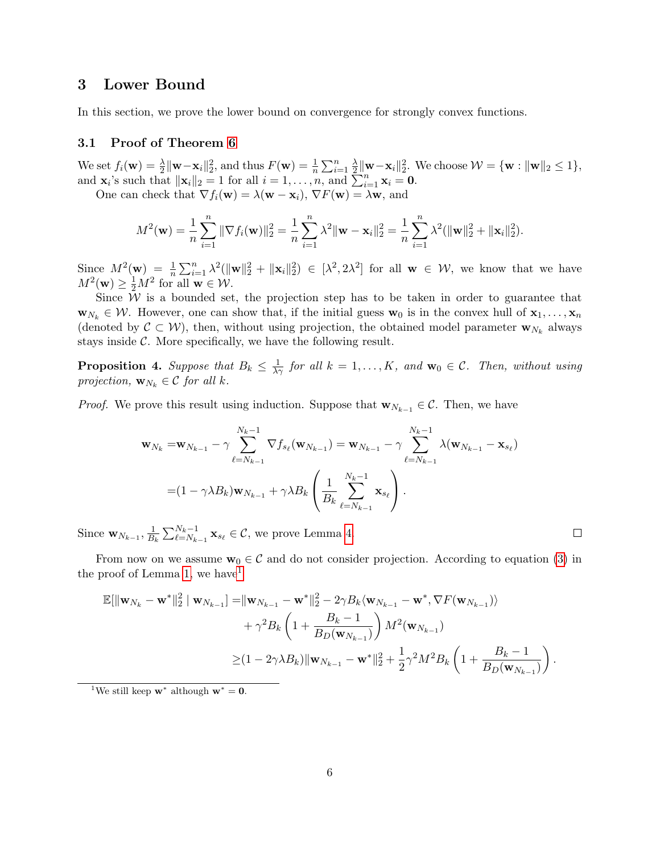## 3 Lower Bound

In this section, we prove the lower bound on convergence for strongly convex functions.

## 3.1 Proof of Theorem [6](#page-0-2)

We set  $f_i(\mathbf{w}) = \frac{\lambda}{2} ||\mathbf{w} - \mathbf{x}_i||_2^2$ , and thus  $F(\mathbf{w}) = \frac{1}{n} \sum_{i=1}^n \frac{\lambda}{2}$  $\frac{\lambda}{2} \|\mathbf{w} - \mathbf{x}_i\|_2^2$ . We choose  $\mathcal{W} = \{\mathbf{w} : \|\mathbf{w}\|_2 \le 1\},\$ and  $\mathbf{x}_i$ 's such that  $\|\mathbf{x}_i\|_2 = 1$  for all  $i = 1, \ldots, n$ , and  $\sum_{i=1}^n \mathbf{x}_i = \mathbf{0}$ .

One can check that  $\nabla f_i(\mathbf{w}) = \lambda(\mathbf{w} - \mathbf{x}_i), \nabla F(\mathbf{w}) = \lambda \mathbf{w}$ , and

$$
M^{2}(\mathbf{w}) = \frac{1}{n} \sum_{i=1}^{n} \|\nabla f_{i}(\mathbf{w})\|_{2}^{2} = \frac{1}{n} \sum_{i=1}^{n} \lambda^{2} \|\mathbf{w} - \mathbf{x}_{i}\|_{2}^{2} = \frac{1}{n} \sum_{i=1}^{n} \lambda^{2} (\|\mathbf{w}\|_{2}^{2} + \|\mathbf{x}_{i}\|_{2}^{2}).
$$

Since  $M^2(\mathbf{w}) = \frac{1}{n} \sum_{i=1}^n \lambda^2 (\|\mathbf{w}\|_2^2 + \|\mathbf{x}_i\|_2^2) \in [\lambda^2, 2\lambda^2]$  for all  $\mathbf{w} \in \mathcal{W}$ , we know that we have  $M^2(\mathbf{w}) \ge \frac{1}{2}M^2$  for all  $\mathbf{w} \in \mathcal{W}$ .

Since  $W$  is a bounded set, the projection step has to be taken in order to guarantee that  $\mathbf{w}_{N_k} \in \mathcal{W}$ . However, one can show that, if the initial guess  $\mathbf{w}_0$  is in the convex hull of  $\mathbf{x}_1, \ldots, \mathbf{x}_n$ (denoted by  $\mathcal{C} \subset \mathcal{W}$ ), then, without using projection, the obtained model parameter  $\mathbf{w}_{N_k}$  always stays inside  $\mathcal{C}$ . More specifically, we have the following result.

<span id="page-5-0"></span>**Proposition 4.** Suppose that  $B_k \leq \frac{1}{\lambda \gamma}$  for all  $k = 1, ..., K$ , and  $\mathbf{w}_0 \in \mathcal{C}$ . Then, without using projection,  $\mathbf{w}_{N_k} \in \mathcal{C}$  for all k.

*Proof.* We prove this result using induction. Suppose that  $\mathbf{w}_{N_{k-1}} \in \mathcal{C}$ . Then, we have

$$
\mathbf{w}_{N_k} = \mathbf{w}_{N_{k-1}} - \gamma \sum_{\ell=N_{k-1}}^{N_k-1} \nabla f_{s_{\ell}}(\mathbf{w}_{N_{k-1}}) = \mathbf{w}_{N_{k-1}} - \gamma \sum_{\ell=N_{k-1}}^{N_k-1} \lambda(\mathbf{w}_{N_{k-1}} - \mathbf{x}_{s_{\ell}})
$$

$$
= (1 - \gamma \lambda B_k) \mathbf{w}_{N_{k-1}} + \gamma \lambda B_k \left( \frac{1}{B_k} \sum_{\ell=N_{k-1}}^{N_k-1} \mathbf{x}_{s_{\ell}} \right).
$$

Since  $\mathbf{w}_{N_{k-1}}, \frac{1}{B_k}$  $\frac{1}{B_k} \sum_{\ell=N_{k-1}}^{N_k-1} \mathbf{x}_{s_\ell} \in \mathcal{C}$ , we prove Lemma [4.](#page-5-0)

From now on we assume  $\mathbf{w}_0 \in \mathcal{C}$  and do not consider projection. According to equation [\(3\)](#page-2-0) in the proof of Lemma [1,](#page-0-2) we have  $1$ 

$$
\mathbb{E}[\|\mathbf{w}_{N_k} - \mathbf{w}^*\|_2^2 | \mathbf{w}_{N_{k-1}}] = \|\mathbf{w}_{N_{k-1}} - \mathbf{w}^*\|_2^2 - 2\gamma B_k \langle \mathbf{w}_{N_{k-1}} - \mathbf{w}^*, \nabla F(\mathbf{w}_{N_{k-1}}) \rangle + \gamma^2 B_k \left(1 + \frac{B_k - 1}{B_D(\mathbf{w}_{N_{k-1}})}\right) M^2(\mathbf{w}_{N_{k-1}}) \geq (1 - 2\gamma \lambda B_k) \|\mathbf{w}_{N_{k-1}} - \mathbf{w}^*\|_2^2 + \frac{1}{2} \gamma^2 M^2 B_k \left(1 + \frac{B_k - 1}{B_D(\mathbf{w}_{N_{k-1}})}\right).
$$

<span id="page-5-1"></span><sup>&</sup>lt;sup>1</sup>We still keep  $\mathbf{w}^*$  although  $\mathbf{w}^* = \mathbf{0}$ .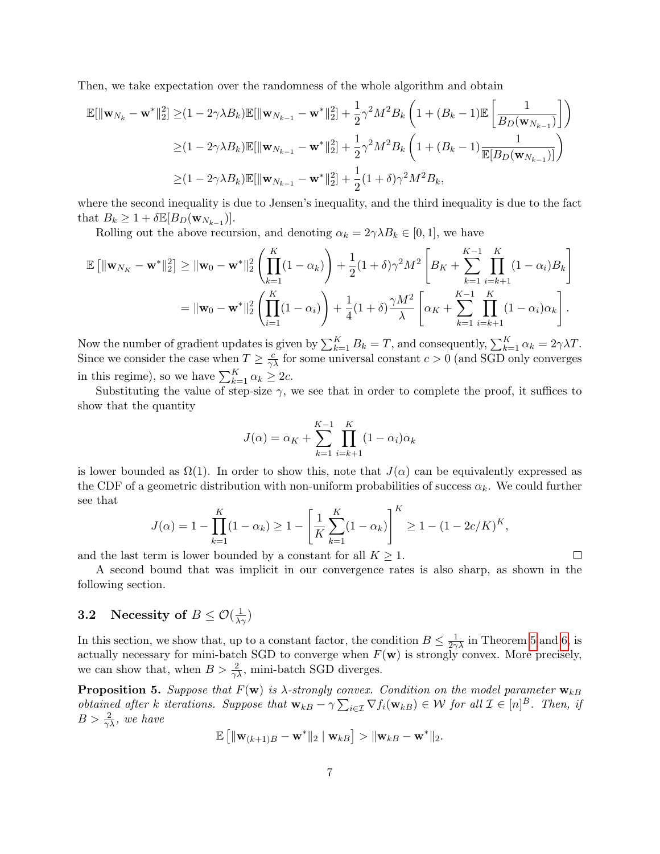Then, we take expectation over the randomness of the whole algorithm and obtain

$$
\mathbb{E}[\|\mathbf{w}_{N_k} - \mathbf{w}^*\|_2^2] \geq (1 - 2\gamma \lambda B_k) \mathbb{E}[\|\mathbf{w}_{N_{k-1}} - \mathbf{w}^*\|_2^2] + \frac{1}{2}\gamma^2 M^2 B_k \left(1 + (B_k - 1)\mathbb{E}\left[\frac{1}{B_D(\mathbf{w}_{N_{k-1}})}\right]\right)
$$
  
\n
$$
\geq (1 - 2\gamma \lambda B_k) \mathbb{E}[\|\mathbf{w}_{N_{k-1}} - \mathbf{w}^*\|_2^2] + \frac{1}{2}\gamma^2 M^2 B_k \left(1 + (B_k - 1)\frac{1}{\mathbb{E}[B_D(\mathbf{w}_{N_{k-1}})]}\right)
$$
  
\n
$$
\geq (1 - 2\gamma \lambda B_k) \mathbb{E}[\|\mathbf{w}_{N_{k-1}} - \mathbf{w}^*\|_2^2] + \frac{1}{2}(1 + \delta)\gamma^2 M^2 B_k,
$$

where the second inequality is due to Jensen's inequality, and the third inequality is due to the fact that  $B_k \geq 1 + \delta \mathbb{E}[B_D(\mathbf{w}_{N_{k-1}})].$ 

Rolling out the above recursion, and denoting  $\alpha_k = 2\gamma \lambda B_k \in [0,1]$ , we have

$$
\mathbb{E} [\|\mathbf{w}_{N_K} - \mathbf{w}^*\|_2^2] \geq \|\mathbf{w}_0 - \mathbf{w}^*\|_2^2 \left( \prod_{k=1}^K (1 - \alpha_k) \right) + \frac{1}{2} (1 + \delta) \gamma^2 M^2 \left[ B_K + \sum_{k=1}^{K-1} \prod_{i=k+1}^K (1 - \alpha_i) B_k \right]
$$
  
= 
$$
\|\mathbf{w}_0 - \mathbf{w}^*\|_2^2 \left( \prod_{i=1}^K (1 - \alpha_i) \right) + \frac{1}{4} (1 + \delta) \frac{\gamma M^2}{\lambda} \left[ \alpha_K + \sum_{k=1}^{K-1} \prod_{i=k+1}^K (1 - \alpha_i) \alpha_k \right].
$$

Now the number of gradient updates is given by  $\sum_{k=1}^{K} B_k = T$ , and consequently,  $\sum_{k=1}^{K} \alpha_k = 2\gamma\lambda T$ . Since we consider the case when  $T \ge \frac{c}{\gamma \lambda}$  for some universal constant  $c > 0$  (and SGD only converges in this regime), so we have  $\sum_{k=1}^{K} \alpha_k \geq 2c$ .

Substituting the value of step-size  $\gamma$ , we see that in order to complete the proof, it suffices to show that the quantity

$$
J(\alpha) = \alpha_K + \sum_{k=1}^{K-1} \prod_{i=k+1}^{K} (1 - \alpha_i)\alpha_k
$$

is lower bounded as  $\Omega(1)$ . In order to show this, note that  $J(\alpha)$  can be equivalently expressed as the CDF of a geometric distribution with non-uniform probabilities of success  $\alpha_k$ . We could further see that

$$
J(\alpha) = 1 - \prod_{k=1}^{K} (1 - \alpha_k) \ge 1 - \left[ \frac{1}{K} \sum_{k=1}^{K} (1 - \alpha_k) \right]^K \ge 1 - (1 - 2c/K)^K,
$$

and the last term is lower bounded by a constant for all  $K \geq 1$ .

 $\Box$ 

A second bound that was implicit in our convergence rates is also sharp, as shown in the following section.

# **3.2** Necessity of  $B \leq \mathcal{O}(\frac{1}{\lambda \gamma})$

In this section, we show that, up to a constant factor, the condition  $B \leq \frac{1}{2\gamma\lambda}$  in Theorem [5](#page-0-2) and [6,](#page-0-2) is actually necessary for mini-batch SGD to converge when  $F(\mathbf{w})$  is strongly convex. More precisely, we can show that, when  $B > \frac{2}{\gamma \lambda}$ , mini-batch SGD diverges.

**Proposition 5.** Suppose that  $F(\mathbf{w})$  is  $\lambda$ -strongly convex. Condition on the model parameter  $\mathbf{w}_{kB}$ obtained after k iterations. Suppose that  $\mathbf{w}_{kB} - \gamma \sum_{i \in \mathcal{I}} \nabla f_i(\mathbf{w}_{kB}) \in \mathcal{W}$  for all  $\mathcal{I} \in [n]^B$ . Then, if  $B > \frac{2}{\gamma \lambda}$ , we have

$$
\mathbb{E}\left[\|\mathbf{w}_{(k+1)B}-\mathbf{w}^*\|_2\mid \mathbf{w}_{kB}\right] > \|\mathbf{w}_{kB}-\mathbf{w}^*\|_2.
$$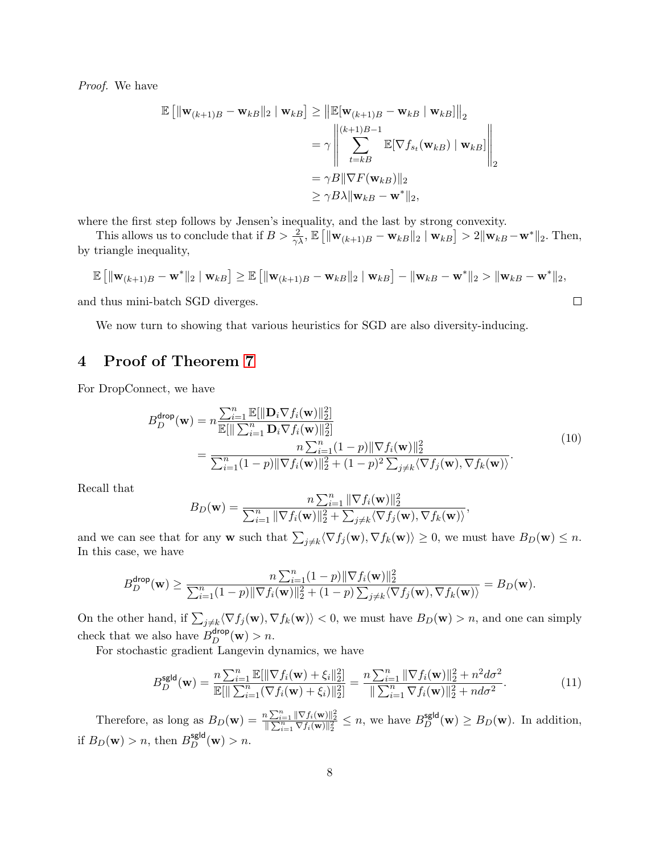Proof. We have

$$
\mathbb{E} \left[ \|\mathbf{w}_{(k+1)B} - \mathbf{w}_{kB}\|_2 \mid \mathbf{w}_{kB} \right] \ge \left\| \mathbb{E}[\mathbf{w}_{(k+1)B} - \mathbf{w}_{kB} \mid \mathbf{w}_{kB}] \right\|_2
$$
  
\n
$$
= \gamma \left\| \sum_{t=kB}^{(k+1)B-1} \mathbb{E}[\nabla f_{s_t}(\mathbf{w}_{kB}) \mid \mathbf{w}_{kB}] \right\|_2
$$
  
\n
$$
= \gamma B \|\nabla F(\mathbf{w}_{kB})\|_2
$$
  
\n
$$
\ge \gamma B \lambda \|\mathbf{w}_{kB} - \mathbf{w}^*\|_2,
$$

where the first step follows by Jensen's inequality, and the last by strong convexity.

This allows us to conclude that if  $B > \frac{2}{\gamma \lambda}$ ,  $\mathbb{E} \left[ \|\mathbf{w}_{(k+1)B} - \mathbf{w}_{kB}\|_2 \mid \mathbf{w}_{kB} \right] > 2 \|\mathbf{w}_{kB} - \mathbf{w}^*\|_2$ . Then, by triangle inequality,

$$
\mathbb{E} [||\mathbf{w}_{(k+1)B} - \mathbf{w}^*||_2 | \mathbf{w}_{kB}] \ge \mathbb{E} [||\mathbf{w}_{(k+1)B} - \mathbf{w}_{kB}||_2 | \mathbf{w}_{kB}] - ||\mathbf{w}_{kB} - \mathbf{w}^*||_2 > ||\mathbf{w}_{kB} - \mathbf{w}^*||_2,
$$

and thus mini-batch SGD diverges.

We now turn to showing that various heuristics for SGD are also diversity-inducing.

# 4 Proof of Theorem [7](#page-0-2)

For DropConnect, we have

$$
B_D^{\text{drop}}(\mathbf{w}) = n \frac{\sum_{i=1}^n \mathbb{E}[\|\mathbf{D}_i \nabla f_i(\mathbf{w})\|_2^2]}{\mathbb{E}[\|\sum_{i=1}^n \mathbf{D}_i \nabla f_i(\mathbf{w})\|_2^2]} = \frac{n \sum_{i=1}^n (1-p) \|\nabla f_i(\mathbf{w})\|_2^2}{\sum_{i=1}^n (1-p) \|\nabla f_i(\mathbf{w})\|_2^2 + (1-p)^2 \sum_{j \neq k} \langle \nabla f_j(\mathbf{w}), \nabla f_k(\mathbf{w}) \rangle}.
$$
(10)

,

 $\Box$ 

Recall that

$$
B_D(\mathbf{w}) = \frac{n \sum_{i=1}^n \|\nabla f_i(\mathbf{w})\|_2^2}{\sum_{i=1}^n \|\nabla f_i(\mathbf{w})\|_2^2 + \sum_{j \neq k} \langle \nabla f_j(\mathbf{w}), \nabla f_k(\mathbf{w}) \rangle}
$$

and we can see that for any **w** such that  $\sum_{j\neq k} \langle \nabla f_j(\mathbf{w}), \nabla f_k(\mathbf{w}) \rangle \geq 0$ , we must have  $B_D(\mathbf{w}) \leq n$ . In this case, we have

$$
B_D^{\text{drop}}(\mathbf{w}) \ge \frac{n \sum_{i=1}^n (1-p) \|\nabla f_i(\mathbf{w})\|_2^2}{\sum_{i=1}^n (1-p) \|\nabla f_i(\mathbf{w})\|_2^2 + (1-p) \sum_{j \ne k} \langle \nabla f_j(\mathbf{w}), \nabla f_k(\mathbf{w}) \rangle} = B_D(\mathbf{w}).
$$

On the other hand, if  $\sum_{j\neq k}\langle \nabla f_j(\mathbf{w}), \nabla f_k(\mathbf{w})\rangle < 0$ , we must have  $B_D(\mathbf{w}) > n$ , and one can simply check that we also have  $B_D^{\text{drop}}(\mathbf{w}) > n$ .

For stochastic gradient Langevin dynamics, we have

$$
B_D^{\text{sgld}}(\mathbf{w}) = \frac{n \sum_{i=1}^n \mathbb{E}[\|\nabla f_i(\mathbf{w}) + \xi_i\|_2^2]}{\mathbb{E}[\|\sum_{i=1}^n (\nabla f_i(\mathbf{w}) + \xi_i)\|_2^2]} = \frac{n \sum_{i=1}^n \|\nabla f_i(\mathbf{w})\|_2^2 + n^2 d\sigma^2}{\|\sum_{i=1}^n \nabla f_i(\mathbf{w})\|_2^2 + nd\sigma^2}.
$$
 (11)

Therefore, as long as  $B_D(\mathbf{w}) = \frac{n \sum_{i=1}^n \|\nabla f_i(\mathbf{w})\|_2^2}{\|\sum_{i=1}^n \nabla f_i(\mathbf{w})\|_2^2} \le n$ , we have  $B_D^{\text{sgld}}(\mathbf{w}) \ge B_D(\mathbf{w})$ . In addition, if  $B_D(\mathbf{w}) > n$ , then  $B_D^{\text{sgld}}(\mathbf{w}) > n$ .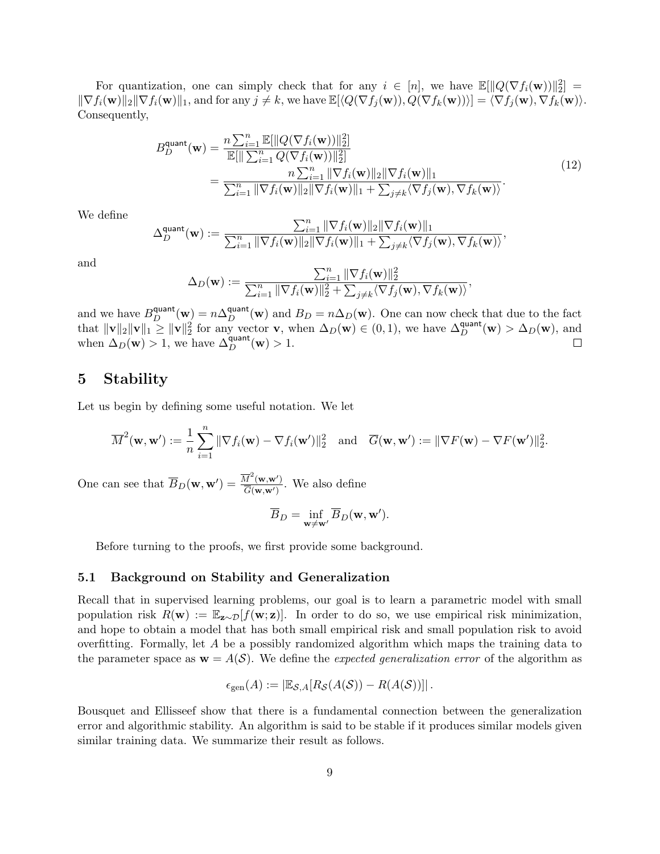For quantization, one can simply check that for any  $i \in [n]$ , we have  $\mathbb{E}[\|Q(\nabla f_i(\mathbf{w}))\|_2^2] =$  $\|\nabla f_i(\mathbf{w})\|_2 \|\nabla f_i(\mathbf{w})\|_1$ , and for any  $j \neq k$ , we have  $\mathbb{E}[\langle Q(\nabla f_i(\mathbf{w})), Q(\nabla f_k(\mathbf{w})) \rangle] = \langle \nabla f_i(\mathbf{w}), \nabla f_k(\mathbf{w}) \rangle$ . Consequently,

$$
B_D^{\text{quant}}(\mathbf{w}) = \frac{n \sum_{i=1}^n \mathbb{E}[\|Q(\nabla f_i(\mathbf{w}))\|_2^2]}{\mathbb{E}[\|\sum_{i=1}^n Q(\nabla f_i(\mathbf{w}))\|_2^2]} = \frac{n \sum_{i=1}^n \|\nabla f_i(\mathbf{w})\|_2 \|\nabla f_i(\mathbf{w})\|_1}{\sum_{i=1}^n \|\nabla f_i(\mathbf{w})\|_2 \|\nabla f_i(\mathbf{w})\|_1 + \sum_{j \neq k} \langle \nabla f_j(\mathbf{w}), \nabla f_k(\mathbf{w}) \rangle}.
$$
(12)

We define

$$
\Delta_D^{\text{quant}}(\mathbf{w}) := \frac{\sum_{i=1}^n \|\nabla f_i(\mathbf{w})\|_2 \|\nabla f_i(\mathbf{w})\|_1}{\sum_{i=1}^n \|\nabla f_i(\mathbf{w})\|_2 \|\nabla f_i(\mathbf{w})\|_1 + \sum_{j \neq k} \langle \nabla f_j(\mathbf{w}), \nabla f_k(\mathbf{w}) \rangle},
$$

and

$$
\Delta_D(\mathbf{w}) := \frac{\sum_{i=1}^n \|\nabla f_i(\mathbf{w})\|_2^2}{\sum_{i=1}^n \|\nabla f_i(\mathbf{w})\|_2^2 + \sum_{j \neq k} \langle \nabla f_j(\mathbf{w}), \nabla f_k(\mathbf{w}) \rangle},
$$

and we have  $B_D^{\text{quant}}(\mathbf{w}) = n\Delta_D^{\text{quant}}(\mathbf{w})$  and  $B_D = n\Delta_D(\mathbf{w})$ . One can now check that due to the fact that  $\|\mathbf{v}\|_2 \|\mathbf{v}\|_1 \geq \|\mathbf{v}\|_2^2$  for any vector **v**, when  $\Delta_D(\mathbf{w}) \in (0, 1)$ , we have  $\Delta_D^{\text{quant}}(\mathbf{w}) > \Delta_D(\mathbf{w})$ , and when  $\Delta_D(\mathbf{w}) > 1$ , we have  $\Delta_D^{\text{quant}}(\mathbf{w}) > 1$ .

## 5 Stability

Let us begin by defining some useful notation. We let

$$
\overline{M}^2(\mathbf{w}, \mathbf{w}') := \frac{1}{n} \sum_{i=1}^n \|\nabla f_i(\mathbf{w}) - \nabla f_i(\mathbf{w}')\|_2^2 \text{ and } \overline{G}(\mathbf{w}, \mathbf{w}') := \|\nabla F(\mathbf{w}) - \nabla F(\mathbf{w}')\|_2^2.
$$

One can see that  $\overline{B}_D(\mathbf{w}, \mathbf{w}') = \frac{\overline{M}^2(\mathbf{w}, \mathbf{w}')}{\overline{G}(\mathbf{w}, \mathbf{w}')}$  $\frac{W(\mathbf{W},\mathbf{W})}{\overline{G}(\mathbf{w},\mathbf{w}')}$ . We also define

$$
\overline{B}_D = \inf_{\mathbf{w} \neq \mathbf{w}'} \overline{B}_D(\mathbf{w}, \mathbf{w}').
$$

Before turning to the proofs, we first provide some background.

#### 5.1 Background on Stability and Generalization

Recall that in supervised learning problems, our goal is to learn a parametric model with small population risk  $R(\mathbf{w}) := \mathbb{E}_{\mathbf{z} \sim \mathcal{D}}[f(\mathbf{w}; \mathbf{z})]$ . In order to do so, we use empirical risk minimization, and hope to obtain a model that has both small empirical risk and small population risk to avoid overfitting. Formally, let A be a possibly randomized algorithm which maps the training data to the parameter space as  $\mathbf{w} = A(S)$ . We define the *expected generalization error* of the algorithm as

$$
\epsilon_{\text{gen}}(A) := \left| \mathbb{E}_{\mathcal{S},A}[R_{\mathcal{S}}(A(\mathcal{S})) - R(A(\mathcal{S}))] \right|.
$$

Bousquet and Ellisseef show that there is a fundamental connection between the generalization error and algorithmic stability. An algorithm is said to be stable if it produces similar models given similar training data. We summarize their result as follows.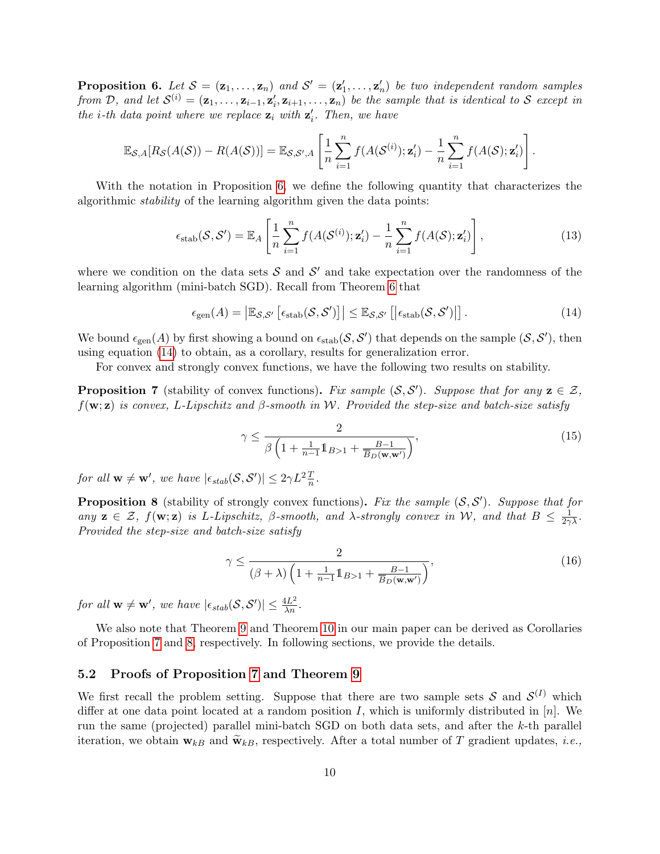<span id="page-9-0"></span>**Proposition 6.** Let  $S = (\mathbf{z}_1, ..., \mathbf{z}_n)$  and  $S' = (\mathbf{z}'_1, ..., \mathbf{z}'_n)$  be two independent random samples from D, and let  $S^{(i)} = (\mathbf{z}_1, \ldots, \mathbf{z}_{i-1}, \mathbf{z}'_i, \mathbf{z}_{i+1}, \ldots, \mathbf{z}_n)$  be the sample that is identical to S except in the *i*-th data point where we replace  $z_i$  with  $z'_i$ . Then, we have

$$
\mathbb{E}_{\mathcal{S},A}[R_{\mathcal{S}}(A(\mathcal{S})) - R(A(\mathcal{S}))] = \mathbb{E}_{\mathcal{S},\mathcal{S}',A}\left[\frac{1}{n}\sum_{i=1}^n f(A(\mathcal{S}^{(i)}); \mathbf{z}'_i) - \frac{1}{n}\sum_{i=1}^n f(A(\mathcal{S}); \mathbf{z}'_i)\right].
$$

With the notation in Proposition [6,](#page-9-0) we define the following quantity that characterizes the algorithmic stability of the learning algorithm given the data points:

$$
\epsilon_{\text{stab}}(\mathcal{S}, \mathcal{S}') = \mathbb{E}_A \left[ \frac{1}{n} \sum_{i=1}^n f(A(\mathcal{S}^{(i)}); \mathbf{z}'_i) - \frac{1}{n} \sum_{i=1}^n f(A(\mathcal{S}); \mathbf{z}'_i) \right],\tag{13}
$$

where we condition on the data sets  $S$  and  $S'$  and take expectation over the randomness of the learning algorithm (mini-batch SGD). Recall from Theorem [6](#page-9-0) that

<span id="page-9-1"></span>
$$
\epsilon_{\text{gen}}(A) = \left| \mathbb{E}_{\mathcal{S}, \mathcal{S}'} \left[ \epsilon_{\text{stab}}(\mathcal{S}, \mathcal{S}') \right] \right| \leq \mathbb{E}_{\mathcal{S}, \mathcal{S}'} \left[ \left| \epsilon_{\text{stab}}(\mathcal{S}, \mathcal{S}') \right| \right]. \tag{14}
$$

We bound  $\epsilon_{gen}(A)$  by first showing a bound on  $\epsilon_{stab}(\mathcal{S}, \mathcal{S}')$  that depends on the sample  $(\mathcal{S}, \mathcal{S}')$ , then using equation [\(14\)](#page-9-1) to obtain, as a corollary, results for generalization error.

For convex and strongly convex functions, we have the following two results on stability.

<span id="page-9-2"></span>**Proposition 7** (stability of convex functions). Fix sample  $(S, S')$ . Suppose that for any  $z \in \mathcal{Z}$ ,  $f(\mathbf{w}; \mathbf{z})$  is convex, L-Lipschitz and β-smooth in W. Provided the step-size and batch-size satisfy

<span id="page-9-4"></span>
$$
\gamma \le \frac{2}{\beta \left(1 + \frac{1}{n-1} 1\!\!1_{B>1} + \frac{B-1}{\overline{B}_D(\mathbf{w}, \mathbf{w}')} \right)},\tag{15}
$$

for all  $\mathbf{w} \neq \mathbf{w}'$ , we have  $|\epsilon_{stab}(\mathcal{S}, \mathcal{S}')| \leq 2\gamma L^2 \frac{T}{n}$ .

<span id="page-9-3"></span>**Proposition 8** (stability of strongly convex functions). Fix the sample  $(S, S')$ . Suppose that for any  $z \in \mathcal{Z}$ ,  $f(\mathbf{w}; z)$  is L-Lipschitz,  $\beta$ -smooth, and  $\lambda$ -strongly convex in W, and that  $B \leq \frac{1}{2\gamma\lambda}$ . Provided the step-size and batch-size satisfy

<span id="page-9-5"></span>
$$
\gamma \le \frac{2}{(\beta + \lambda) \left(1 + \frac{1}{n-1} 1\!\!1_{B>1} + \frac{B-1}{\overline{B}_D(\mathbf{w}, \mathbf{w}')} \right)},\tag{16}
$$

for all  $w \neq w'$ , we have  $|\epsilon_{stab}(\mathcal{S}, \mathcal{S}')| \leq \frac{4L^2}{\lambda n}$ .

We also note that Theorem [9](#page-0-2) and Theorem [10](#page-0-2) in our main paper can be derived as Corollaries of Proposition [7](#page-9-2) and [8,](#page-9-3) respectively. In following sections, we provide the details.

#### 5.2 Proofs of Proposition [7](#page-9-2) and Theorem [9](#page-0-2)

We first recall the problem setting. Suppose that there are two sample sets S and  $\mathcal{S}^{(I)}$  which differ at one data point located at a random position I, which is uniformly distributed in  $[n]$ . We run the same (projected) parallel mini-batch SGD on both data sets, and after the k-th parallel iteration, we obtain  $\mathbf{w}_{kB}$  and  $\widetilde{\mathbf{w}}_{kB}$ , respectively. After a total number of T gradient updates, *i.e.*,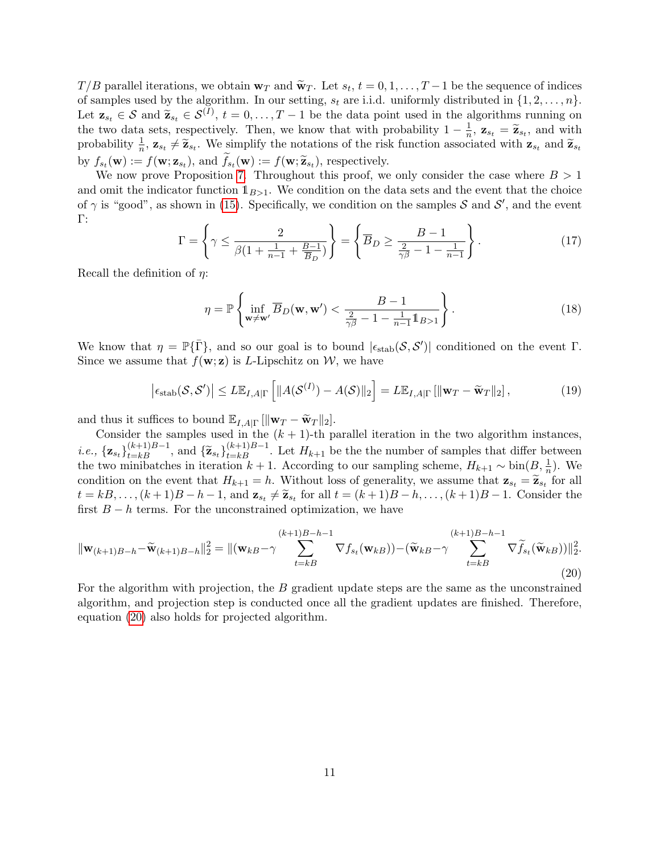$T/B$  parallel iterations, we obtain  $\mathbf{w}_T$  and  $\widetilde{\mathbf{w}}_T$ . Let  $s_t$ ,  $t = 0, 1, \ldots, T-1$  be the sequence of indices of samples used by the algorithm. In our setting,  $s_t$  are i.i.d. uniformly distributed in  $\{1, 2, \ldots, n\}$ . Let  $z_{s_t} \in S$  and  $\tilde{z}_{s_t} \in S^{(I)}$ ,  $t = 0, \ldots, T-1$  be the data point used in the algorithms running on the two data generatively. Then, we know that with prehability  $1 - \frac{1}{L} z_t = \tilde{z}$  and with the two data sets, respectively. Then, we know that with probability  $1 - \frac{1}{n}$  $\frac{1}{n}$ ,  $\mathbf{z}_{s_t} = \widetilde{\mathbf{z}}_{s_t}$ , and with probability  $\frac{1}{n}$ ,  $\mathbf{z}_{s_t} \neq \widetilde{\mathbf{z}}_{s_t}$ . We simplify the notations of the risk function associated with  $\mathbf{z}_{s_t}$  and  $\widetilde{\mathbf{z}}_{s_t}$ by  $f_{s_t}(\mathbf{w}) := f(\mathbf{w}; \mathbf{z}_{s_t})$ , and  $f_{s_t}(\mathbf{w}) := f(\mathbf{w}; \widetilde{\mathbf{z}}_{s_t})$ , respectively.

We now prove Proposition [7.](#page-9-2) Throughout this proof, we only consider the case where  $B > 1$ and omit the indicator function  $\mathbb{1}_{B>1}$ . We condition on the data sets and the event that the choice of  $\gamma$  is "good", as shown in [\(15\)](#page-9-4). Specifically, we condition on the samples S and S', and the event Γ:

<span id="page-10-1"></span>
$$
\Gamma = \left\{ \gamma \le \frac{2}{\beta(1 + \frac{1}{n-1} + \frac{B-1}{\overline{B}_D})} \right\} = \left\{ \overline{B}_D \ge \frac{B-1}{\frac{2}{\gamma\beta} - 1 - \frac{1}{n-1}} \right\}.
$$
 (17)

Recall the definition of  $\eta$ :

$$
\eta = \mathbb{P}\left\{\inf_{\mathbf{w}\neq\mathbf{w}'}\overline{B}_D(\mathbf{w}, \mathbf{w}') < \frac{B-1}{\frac{2}{\gamma\beta} - 1 - \frac{1}{n-1}\mathbb{1}_{B>1}}\right\}.\tag{18}
$$

We know that  $\eta = \mathbb{P}\{\bar{\Gamma}\}\$ , and so our goal is to bound  $|\epsilon_{stab}(\mathcal{S}, \mathcal{S}')|$  conditioned on the event  $\Gamma$ . Since we assume that  $f(\mathbf{w}; \mathbf{z})$  is *L*-Lipschitz on W, we have

<span id="page-10-2"></span>
$$
\left|\epsilon_{\text{stab}}(\mathcal{S}, \mathcal{S}')\right| \le L \mathbb{E}_{I, A|\Gamma}\left[\|A(\mathcal{S}^{(I)}) - A(\mathcal{S})\|_2\right] = L \mathbb{E}_{I, A|\Gamma}\left[\|\mathbf{w}_T - \widetilde{\mathbf{w}}_T\|_2\right],\tag{19}
$$

and thus it suffices to bound  $\mathbb{E}_{I,A|\Gamma}[\|\mathbf{w}_T - \widetilde{\mathbf{w}}_T\|_2].$ 

Consider the samples used in the  $(k + 1)$ -th parallel iteration in the two algorithm instances, *i.e.*,  ${\mathbf{z}_{s_t}}_{t=k}^{(k+1)B-1}$ , and  ${\tilde{\mathbf{z}}_{s_t}}_{t=k}^{(k+1)B-1}$ . Let  $H_{k+1}$  be the the number of samples that differ between the two minibatches in iteration  $k + 1$ . According to our sampling scheme,  $H_{k+1} \sim \text{bin}(B, \frac{1}{n})$ . We condition on the event that  $H_{k+1} = h$ . Without loss of generality, we assume that  $\mathbf{z}_{s_t} = \widetilde{\mathbf{z}}_{s_t}$  for all  $t = hR$  (*k* + 1) *R*  $h$  (*k* + 1) *R*  $h$  (*k* + 1) *R*  $h$  (*k* + 1) *R*  $h$  (*k* + 1) *R*  $h$  (*k* +  $t = kB, \ldots, (k+1)B-h-1$ , and  $\mathbf{z}_{s_t} \neq \widetilde{\mathbf{z}}_{s_t}$  for all  $t = (k+1)B-h, \ldots, (k+1)B-1$ . Consider the first  $B - h$  terms. For the unconstrained optimization, we have

<span id="page-10-0"></span>
$$
\|\mathbf{w}_{(k+1)B-h} - \widetilde{\mathbf{w}}_{(k+1)B-h}\|_{2}^{2} = \|(\mathbf{w}_{kB} - \gamma \sum_{t=kB}^{(k+1)B-h-1} \nabla f_{s_{t}}(\mathbf{w}_{kB})) - (\widetilde{\mathbf{w}}_{kB} - \gamma \sum_{t=kB}^{(k+1)B-h-1} \nabla \widetilde{f}_{s_{t}}(\widetilde{\mathbf{w}}_{kB}))\|_{2}^{2}.
$$
\n(20)

For the algorithm with projection, the B gradient update steps are the same as the unconstrained algorithm, and projection step is conducted once all the gradient updates are finished. Therefore, equation [\(20\)](#page-10-0) also holds for projected algorithm.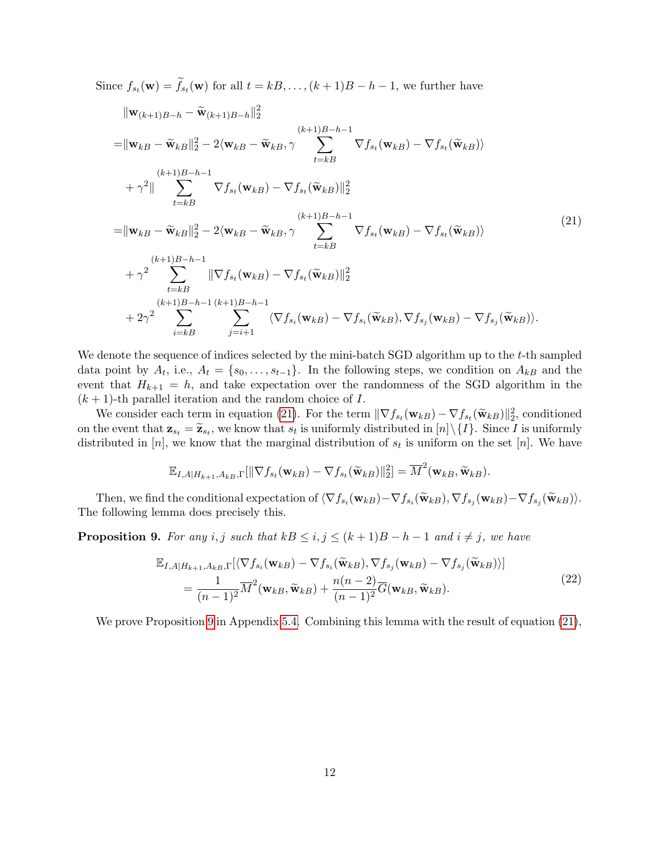Since  $f_{st}(\mathbf{w}) = f_{st}(\mathbf{w})$  for all  $t = kB, \ldots, (k+1)B - h - 1$ , we further have

<span id="page-11-0"></span>
$$
\|\mathbf{w}_{(k+1)B-h} - \widetilde{\mathbf{w}}_{(k+1)B-h}\|_{2}^{2}
$$
\n
$$
=\|\mathbf{w}_{kB} - \widetilde{\mathbf{w}}_{kB}\|_{2}^{2} - 2\langle \mathbf{w}_{kB} - \widetilde{\mathbf{w}}_{kB}, \gamma \sum_{t=kB}^{(k+1)B-h-1} \nabla f_{s_{t}}(\mathbf{w}_{kB}) - \nabla f_{s_{t}}(\widetilde{\mathbf{w}}_{kB})\rangle
$$
\n
$$
+\gamma^{2} \|\sum_{t=kB}^{(k+1)B-h-1} \nabla f_{s_{t}}(\mathbf{w}_{kB}) - \nabla f_{s_{t}}(\widetilde{\mathbf{w}}_{kB})\|_{2}^{2}
$$
\n
$$
=\|\mathbf{w}_{kB} - \widetilde{\mathbf{w}}_{kB}\|_{2}^{2} - 2\langle \mathbf{w}_{kB} - \widetilde{\mathbf{w}}_{kB}, \gamma \sum_{t=kB}^{(k+1)B-h-1} \nabla f_{s_{t}}(\mathbf{w}_{kB}) - \nabla f_{s_{t}}(\widetilde{\mathbf{w}}_{kB})\rangle
$$
\n
$$
+\gamma^{2} \sum_{t=kB}^{(k+1)B-h-1} \|\nabla f_{s_{t}}(\mathbf{w}_{kB}) - \nabla f_{s_{t}}(\widetilde{\mathbf{w}}_{kB})\|_{2}^{2}
$$
\n
$$
+2\gamma^{2} \sum_{i=kB}^{(k+1)B-h-1} \langle \nabla f_{s_{i}}(\mathbf{w}_{kB}) - \nabla f_{s_{i}}(\widetilde{\mathbf{w}}_{kB}), \nabla f_{s_{j}}(\mathbf{w}_{kB}) - \nabla f_{s_{j}}(\widetilde{\mathbf{w}}_{kB})\rangle.
$$
\n(21)

We denote the sequence of indices selected by the mini-batch  $\text{SGD}$  algorithm up to the t-th sampled data point by  $A_t$ , i.e.,  $A_t = \{s_0, \ldots, s_{t-1}\}$ . In the following steps, we condition on  $A_{kB}$  and the event that  $H_{k+1} = h$ , and take expectation over the randomness of the SGD algorithm in the  $(k + 1)$ -th parallel iteration and the random choice of I.

We consider each term in equation [\(21\)](#page-11-0). For the term  $\|\nabla f_{s_t}(\mathbf{w}_{kB}) - \nabla f_{s_t}(\widetilde{\mathbf{w}}_{kB})\|_2^2$ , conditioned<br>the synt that  $\mathbf{z}_t = \widetilde{\mathbf{z}}$  are known that a is uniformly distributed in [a]) (1). Since Lis unifo on the event that  $\mathbf{z}_{s_t} = \widetilde{\mathbf{z}}_{s_t}$ , we know that  $s_t$  is uniformly distributed in  $[n] \setminus \{I\}$ . Since I is uniformly distributed in [n], we know that the marginal distribution of  $s_t$  is uniform on the set [n]. We have

$$
\mathbb{E}_{I,A|H_{k+1},A_{kB},\Gamma}[\|\nabla f_{s_t}(\mathbf{w}_{kB}) - \nabla f_{s_t}(\widetilde{\mathbf{w}}_{kB})\|_2^2] = \overline{M}^2(\mathbf{w}_{kB},\widetilde{\mathbf{w}}_{kB}).
$$

Then, we find the conditional expectation of  $\langle \nabla f_{s_i}(\mathbf{w}_{kB}) - \nabla f_{s_i}(\widetilde{\mathbf{w}}_{kB}), \nabla f_{s_j}(\mathbf{w}_{kB}) - \nabla f_{s_j}(\widetilde{\mathbf{w}}_{kB}) \rangle$ . The following lemma does precisely this.

<span id="page-11-1"></span>**Proposition 9.** For any i, j such that  $kB \leq i, j \leq (k+1)B - h - 1$  and  $i \neq j$ , we have

$$
\mathbb{E}_{I,A|H_{k+1},A_{kB},\Gamma}[\langle \nabla f_{s_i}(\mathbf{w}_{kB}) - \nabla f_{s_i}(\widetilde{\mathbf{w}}_{kB}), \nabla f_{s_j}(\mathbf{w}_{kB}) - \nabla f_{s_j}(\widetilde{\mathbf{w}}_{kB}) \rangle] \n= \frac{1}{(n-1)^2} \overline{M}^2(\mathbf{w}_{kB}, \widetilde{\mathbf{w}}_{kB}) + \frac{n(n-2)}{(n-1)^2} \overline{G}(\mathbf{w}_{kB}, \widetilde{\mathbf{w}}_{kB}).
$$
\n(22)

We prove Proposition [9](#page-11-1) in Appendix [5.4.](#page-15-0) Combining this lemma with the result of equation  $(21)$ ,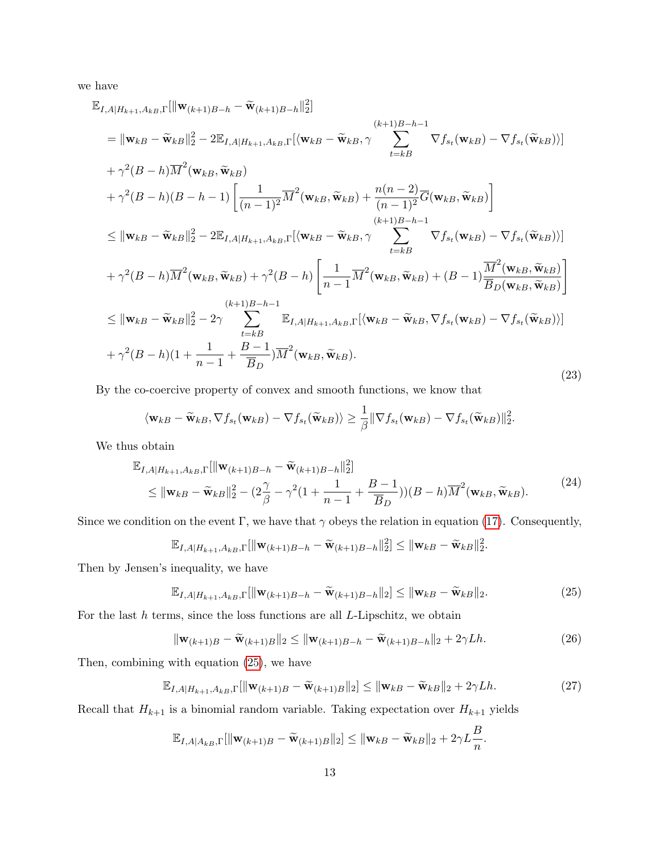we have

<span id="page-12-1"></span>
$$
\mathbb{E}_{I,A|H_{k+1},A_{kB},\Gamma}[\|\mathbf{w}_{(k+1)B-h} - \widetilde{\mathbf{w}}_{(k+1)B-h} \|_{2}^{2}]
$$
\n
$$
= \|\mathbf{w}_{kB} - \widetilde{\mathbf{w}}_{kB}\|_{2}^{2} - 2\mathbb{E}_{I,A|H_{k+1},A_{kB},\Gamma}[\langle\mathbf{w}_{kB} - \widetilde{\mathbf{w}}_{kB}, \gamma \sum_{t=kB}^{(k+1)B-h-1} \nabla f_{s_{t}}(\mathbf{w}_{kB}) - \nabla f_{s_{t}}(\widetilde{\mathbf{w}}_{kB})\rangle]
$$
\n
$$
+ \gamma^{2}(B-h)\overline{M}^{2}(\mathbf{w}_{kB},\widetilde{\mathbf{w}}_{kB})
$$
\n
$$
+ \gamma^{2}(B-h)(B-h-1)\left[\frac{1}{(n-1)^{2}}\overline{M}^{2}(\mathbf{w}_{kB},\widetilde{\mathbf{w}}_{kB}) + \frac{n(n-2)}{(n-1)^{2}}\overline{G}(\mathbf{w}_{kB},\widetilde{\mathbf{w}}_{kB})\right]
$$
\n
$$
\leq \|\mathbf{w}_{kB} - \widetilde{\mathbf{w}}_{kB}\|_{2}^{2} - 2\mathbb{E}_{I,A|H_{k+1},A_{kB},\Gamma}[\langle\mathbf{w}_{kB} - \widetilde{\mathbf{w}}_{kB}, \gamma \sum_{t=kB}^{(k+1)B-h-1} \nabla f_{s_{t}}(\mathbf{w}_{kB}) - \nabla f_{s_{t}}(\widetilde{\mathbf{w}}_{kB})\rangle]
$$
\n
$$
+ \gamma^{2}(B-h)\overline{M}^{2}(\mathbf{w}_{kB},\widetilde{\mathbf{w}}_{kB}) + \gamma^{2}(B-h)\left[\frac{1}{n-1}\overline{M}^{2}(\mathbf{w}_{kB},\widetilde{\mathbf{w}}_{kB}) + (B-1)\frac{\overline{M}^{2}(\mathbf{w}_{kB},\widetilde{\mathbf{w}}_{kB})}{\overline{B}_{D}(\mathbf{w}_{kB},\widetilde{\mathbf{w}}_{kB})}\right]
$$
\n
$$
\leq \|\mathbf{w}_{kB} - \widetilde{\mathbf{w}}_{kB}\|_{2}^{2} - 2\gamma \sum_{t=kB}^{(k+1)B
$$

By the co-coercive property of convex and smooth functions, we know that

$$
\langle \mathbf{w}_{kB} - \widetilde{\mathbf{w}}_{kB}, \nabla f_{s_t}(\mathbf{w}_{kB}) - \nabla f_{s_t}(\widetilde{\mathbf{w}}_{kB}) \rangle \geq \frac{1}{\beta} \|\nabla f_{s_t}(\mathbf{w}_{kB}) - \nabla f_{s_t}(\widetilde{\mathbf{w}}_{kB})\|_2^2.
$$

We thus obtain

$$
\mathbb{E}_{I,A|H_{k+1},A_{kB},\Gamma}[\|\mathbf{w}_{(k+1)B-h} - \widetilde{\mathbf{w}}_{(k+1)B-h}\|_2^2]
$$
\n
$$
\leq \|\mathbf{w}_{kB} - \widetilde{\mathbf{w}}_{kB}\|_2^2 - (2\frac{\gamma}{\beta} - \gamma^2(1 + \frac{1}{n-1} + \frac{B-1}{\overline{B}_D}))(B-h)\overline{M}^2(\mathbf{w}_{kB},\widetilde{\mathbf{w}}_{kB}).
$$
\n(24)

Since we condition on the event Γ, we have that  $\gamma$  obeys the relation in equation [\(17\)](#page-10-1). Consequently,

$$
\mathbb{E}_{I,A|H_{k+1},A_{kB},\Gamma}[\|\mathbf{w}_{(k+1)B-h}-\widetilde{\mathbf{w}}_{(k+1)B-h}\|_2^2] \leq \|\mathbf{w}_{kB}-\widetilde{\mathbf{w}}_{kB}\|_2^2.
$$

Then by Jensen's inequality, we have

<span id="page-12-0"></span>
$$
\mathbb{E}_{I,A|H_{k+1},A_{kB},\Gamma}[\|\mathbf{w}_{(k+1)B-h} - \widetilde{\mathbf{w}}_{(k+1)B-h}\|_2] \le \|\mathbf{w}_{kB} - \widetilde{\mathbf{w}}_{kB}\|_2.
$$
\n(25)

For the last  $h$  terms, since the loss functions are all  $L$ -Lipschitz, we obtain

$$
\|\mathbf{w}_{(k+1)B} - \widetilde{\mathbf{w}}_{(k+1)B}\|_2 \le \|\mathbf{w}_{(k+1)B-h} - \widetilde{\mathbf{w}}_{(k+1)B-h}\|_2 + 2\gamma L h. \tag{26}
$$

Then, combining with equation [\(25\)](#page-12-0), we have

$$
\mathbb{E}_{I,A|H_{k+1},A_{kB},\Gamma}[\|\mathbf{w}_{(k+1)B} - \widetilde{\mathbf{w}}_{(k+1)B}\|_2] \le \|\mathbf{w}_{kB} - \widetilde{\mathbf{w}}_{kB}\|_2 + 2\gamma Lh. \tag{27}
$$

Recall that  $H_{k+1}$  is a binomial random variable. Taking expectation over  $H_{k+1}$  yields

$$
\mathbb{E}_{I,A|A_{kB},\Gamma}[\|\mathbf{w}_{(k+1)B}-\widetilde{\mathbf{w}}_{(k+1)B}\|_2] \leq \|\mathbf{w}_{kB}-\widetilde{\mathbf{w}}_{kB}\|_2 + 2\gamma L \frac{B}{n}.
$$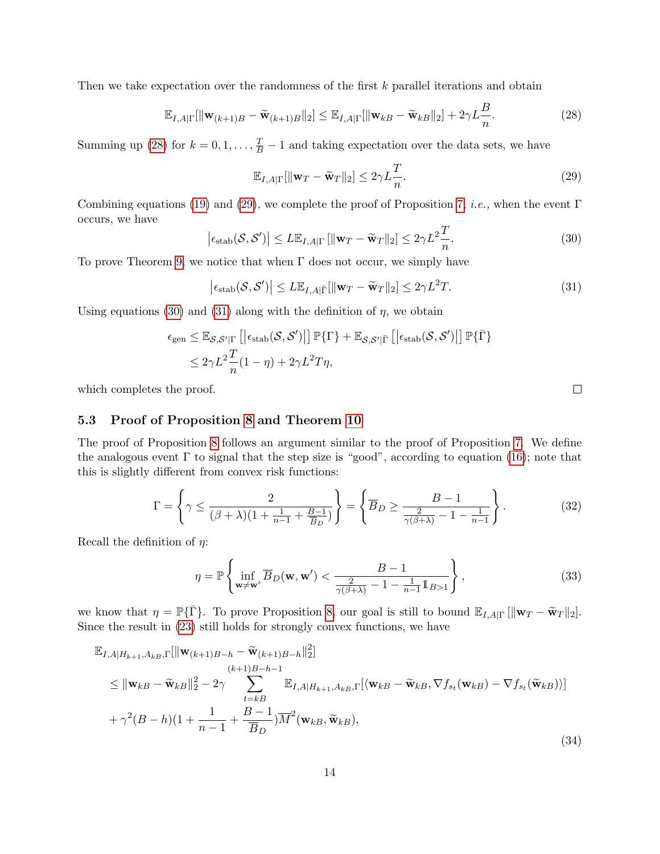Then we take expectation over the randomness of the first  $k$  parallel iterations and obtain

<span id="page-13-0"></span>
$$
\mathbb{E}_{I,A|\Gamma}[\|\mathbf{w}_{(k+1)B} - \widetilde{\mathbf{w}}_{(k+1)B}\|_2] \le \mathbb{E}_{I,A|\Gamma}[\|\mathbf{w}_{kB} - \widetilde{\mathbf{w}}_{kB}\|_2] + 2\gamma L \frac{B}{n}.
$$
\n(28)

Summing up [\(28\)](#page-13-0) for  $k = 0, 1, ..., \frac{T}{B} - 1$  and taking expectation over the data sets, we have

<span id="page-13-1"></span>
$$
\mathbb{E}_{I,A|\Gamma}[\|\mathbf{w}_T - \widetilde{\mathbf{w}}_T\|_2] \le 2\gamma L \frac{T}{n}.\tag{29}
$$

Combining equations [\(19\)](#page-10-2) and [\(29\)](#page-13-1), we complete the proof of Proposition [7,](#page-9-2) *i.e.*, when the event Γ occurs, we have

<span id="page-13-2"></span>
$$
\left|\epsilon_{\text{stab}}(\mathcal{S}, \mathcal{S}')\right| \le L \mathbb{E}_{I, A|\Gamma} \left[ \|\mathbf{w}_T - \widetilde{\mathbf{w}}_T\|_2 \right] \le 2\gamma L^2 \frac{T}{n}.\tag{30}
$$

To prove Theorem [9,](#page-0-2) we notice that when  $\Gamma$  does not occur, we simply have

<span id="page-13-3"></span>
$$
\left| \epsilon_{\text{stab}}(\mathcal{S}, \mathcal{S}') \right| \le L \mathbb{E}_{I, A|\bar{\Gamma}}[\|\mathbf{w}_T - \widetilde{\mathbf{w}}_T\|_2] \le 2\gamma L^2 T. \tag{31}
$$

Using equations [\(30\)](#page-13-2) and [\(31\)](#page-13-3) along with the definition of  $\eta$ , we obtain

$$
\epsilon_{\text{gen}} \leq \mathbb{E}_{\mathcal{S},\mathcal{S}'|\Gamma} \left[ \left| \epsilon_{\text{stab}}(\mathcal{S},\mathcal{S}') \right| \right] \mathbb{P} \{ \Gamma \} + \mathbb{E}_{\mathcal{S},\mathcal{S}'|\bar{\Gamma}} \left[ \left| \epsilon_{\text{stab}}(\mathcal{S},\mathcal{S}') \right| \right] \mathbb{P} \{ \bar{\Gamma} \} \right] \leq 2\gamma L^2 \frac{T}{n} (1-\eta) + 2\gamma L^2 T \eta,
$$

which completes the proof.

#### 5.3 Proof of Proposition [8](#page-9-3) and Theorem [10](#page-0-2)

The proof of Proposition [8](#page-9-3) follows an argument similar to the proof of Proposition [7.](#page-9-2) We define the analogous event  $\Gamma$  to signal that the step size is "good", according to equation [\(16\)](#page-9-5); note that this is slightly different from convex risk functions:

$$
\Gamma = \left\{ \gamma \le \frac{2}{(\beta + \lambda)(1 + \frac{1}{n-1} + \frac{B-1}{\overline{B}_D})} \right\} = \left\{ \overline{B}_D \ge \frac{B-1}{\frac{2}{\gamma(\beta + \lambda)} - 1 - \frac{1}{n-1}} \right\}.
$$
 (32)

Recall the definition of  $\eta$ :

$$
\eta = \mathbb{P}\left\{\inf_{\mathbf{w}\neq\mathbf{w}'}\overline{B}_D(\mathbf{w}, \mathbf{w}') < \frac{B-1}{\frac{2}{\gamma(\beta+\lambda)} - 1 - \frac{1}{n-1}\mathbb{1}_{B>1}}\right\},\tag{33}
$$

we know that  $\eta = \mathbb{P}\{\bar{\Gamma}\}\$ . To prove Proposition [8,](#page-9-3) our goal is still to bound  $\mathbb{E}_{I,A|\Gamma}[\|\mathbf{w}_T - \widetilde{\mathbf{w}}_T\|_2].$ Since the result in [\(23\)](#page-12-1) still holds for strongly convex functions, we have

$$
\mathbb{E}_{I,A|H_{k+1},A_{k},\Gamma}[\|\mathbf{w}_{(k+1)B-h} - \widetilde{\mathbf{w}}_{(k+1)B-h}||_2^2]
$$
\n
$$
\leq \|\mathbf{w}_{kB} - \widetilde{\mathbf{w}}_{kB}\|_2^2 - 2\gamma \sum_{t=k+1}^{(k+1)B-h-1} \mathbb{E}_{I,A|H_{k+1},A_{k},\Gamma}[\langle \mathbf{w}_{kB} - \widetilde{\mathbf{w}}_{kB}, \nabla f_{s_t}(\mathbf{w}_{kB}) - \nabla f_{s_t}(\widetilde{\mathbf{w}}_{kB}))]
$$
\n
$$
+ \gamma^2 (B-h)(1 + \frac{1}{n-1} + \frac{B-1}{B_D})\overline{M}^2(\mathbf{w}_{kB}, \widetilde{\mathbf{w}}_{kB}),
$$
\n(34)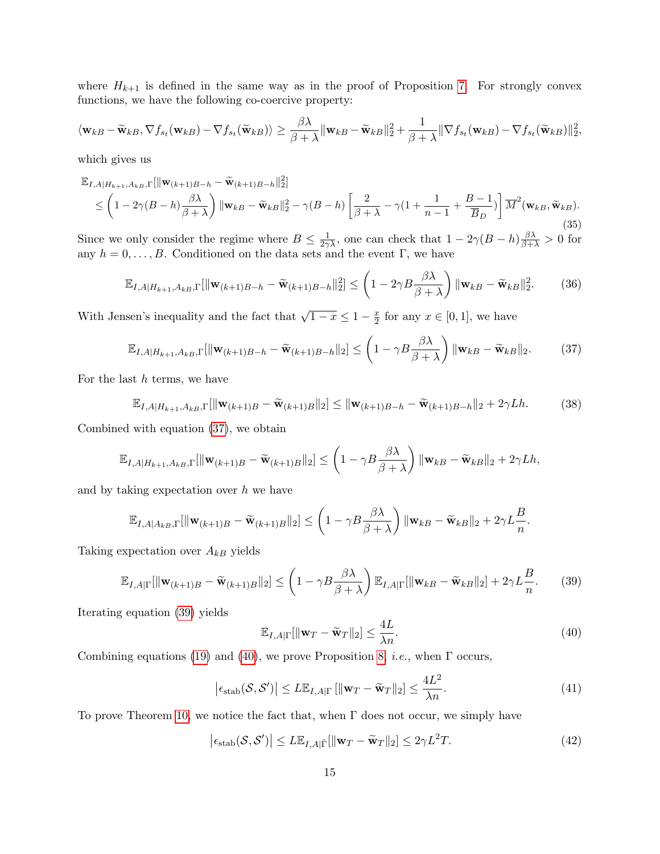where  $H_{k+1}$  is defined in the same way as in the proof of Proposition [7.](#page-9-2) For strongly convex functions, we have the following co-coercive property:

$$
\langle \mathbf{w}_{kB} - \widetilde{\mathbf{w}}_{kB}, \nabla f_{s_t}(\mathbf{w}_{kB}) - \nabla f_{s_t}(\widetilde{\mathbf{w}}_{kB}) \rangle \geq \frac{\beta \lambda}{\beta + \lambda} ||\mathbf{w}_{kB} - \widetilde{\mathbf{w}}_{kB}||_2^2 + \frac{1}{\beta + \lambda} ||\nabla f_{s_t}(\mathbf{w}_{kB}) - \nabla f_{s_t}(\widetilde{\mathbf{w}}_{kB})||_2^2,
$$

which gives us

$$
\mathbb{E}_{I,A|H_{k+1},A_{kB},\Gamma}[\|\mathbf{w}_{(k+1)B-h} - \widetilde{\mathbf{w}}_{(k+1)B-h}\|_2^2]
$$
\n
$$
\leq \left(1 - 2\gamma(B-h)\frac{\beta\lambda}{\beta+\lambda}\right) \|\mathbf{w}_{kB} - \widetilde{\mathbf{w}}_{kB}\|_2^2 - \gamma(B-h)\left[\frac{2}{\beta+\lambda} - \gamma(1+\frac{1}{n-1}+\frac{B-1}{\overline{B}_D})\right]\overline{M}^2(\mathbf{w}_{kB},\widetilde{\mathbf{w}}_{kB}).
$$
\n(35)

Since we only consider the regime where  $B \le \frac{1}{2\gamma\lambda}$ , one can check that  $1 - 2\gamma(B - h)\frac{\beta\lambda}{\beta + \lambda} > 0$  for any  $h = 0, \ldots, B$ . Conditioned on the data sets and the event Γ, we have

$$
\mathbb{E}_{I,A|H_{k+1},A_{kB},\Gamma}[\|\mathbf{w}_{(k+1)B-h} - \widetilde{\mathbf{w}}_{(k+1)B-h}\|_2^2] \leq \left(1 - 2\gamma B \frac{\beta \lambda}{\beta + \lambda}\right) \|\mathbf{w}_{kB} - \widetilde{\mathbf{w}}_{kB}\|_2^2. \tag{36}
$$

With Jensen's inequality and the fact that  $\sqrt{1-x} \leq 1 - \frac{x}{2}$  $\frac{x}{2}$  for any  $x \in [0,1]$ , we have

<span id="page-14-0"></span>
$$
\mathbb{E}_{I,A|H_{k+1},A_{kB},\Gamma}[\|\mathbf{w}_{(k+1)B-h} - \widetilde{\mathbf{w}}_{(k+1)B-h}\|_2] \leq \left(1 - \gamma B \frac{\beta \lambda}{\beta + \lambda}\right) \|\mathbf{w}_{kB} - \widetilde{\mathbf{w}}_{kB}\|_2. \tag{37}
$$

For the last  $h$  terms, we have

$$
\mathbb{E}_{I,A|H_{k+1},A_{k},\Gamma}[\|\mathbf{w}_{(k+1)B} - \widetilde{\mathbf{w}}_{(k+1)B}\|_2] \le \|\mathbf{w}_{(k+1)B-h} - \widetilde{\mathbf{w}}_{(k+1)B-h}\|_2 + 2\gamma Lh. \tag{38}
$$

Combined with equation [\(37\)](#page-14-0), we obtain

$$
\mathbb{E}_{I,A|H_{k+1},A_{kB},\Gamma}[\|\mathbf{w}_{(k+1)B} - \widetilde{\mathbf{w}}_{(k+1)B}\|_2] \leq \left(1 - \gamma B \frac{\beta \lambda}{\beta + \lambda}\right) \|\mathbf{w}_{kB} - \widetilde{\mathbf{w}}_{kB}\|_2 + 2\gamma Lh,
$$

and by taking expectation over  $h$  we have

$$
\mathbb{E}_{I,A|A_{kB},\Gamma}[\|\mathbf{w}_{(k+1)B} - \widetilde{\mathbf{w}}_{(k+1)B}\|_2] \leq \left(1 - \gamma B \frac{\beta \lambda}{\beta + \lambda}\right) \|\mathbf{w}_{kB} - \widetilde{\mathbf{w}}_{kB}\|_2 + 2\gamma L \frac{B}{n}.
$$

Taking expectation over  $A_{kB}$  yields

<span id="page-14-1"></span>
$$
\mathbb{E}_{I,A|\Gamma}[\|\mathbf{w}_{(k+1)B} - \widetilde{\mathbf{w}}_{(k+1)B}\|_2] \leq \left(1 - \gamma B \frac{\beta \lambda}{\beta + \lambda}\right) \mathbb{E}_{I,A|\Gamma}[\|\mathbf{w}_{kB} - \widetilde{\mathbf{w}}_{kB}\|_2] + 2\gamma L \frac{B}{n}.\tag{39}
$$

Iterating equation [\(39\)](#page-14-1) yields

<span id="page-14-2"></span>
$$
\mathbb{E}_{I,A|\Gamma}[\|\mathbf{w}_T - \widetilde{\mathbf{w}}_T\|_2] \le \frac{4L}{\lambda n}.\tag{40}
$$

Combining equations [\(19\)](#page-10-2) and [\(40\)](#page-14-2), we prove Proposition [8,](#page-9-3) *i.e.*, when  $\Gamma$  occurs,

<span id="page-14-3"></span>
$$
\left|\epsilon_{\text{stab}}(\mathcal{S}, \mathcal{S}')\right| \le L \mathbb{E}_{I, A|\Gamma} \left[ \|\mathbf{w}_T - \widetilde{\mathbf{w}}_T\|_2 \right] \le \frac{4L^2}{\lambda n}.\tag{41}
$$

To prove Theorem [10,](#page-0-2) we notice the fact that, when Γ does not occur, we simply have

<span id="page-14-4"></span>
$$
\left|\epsilon_{\text{stab}}(\mathcal{S}, \mathcal{S}')\right| \le L \mathbb{E}_{I, A|\bar{\Gamma}}[\|\mathbf{w}_T - \widetilde{\mathbf{w}}_T\|_2] \le 2\gamma L^2 T. \tag{42}
$$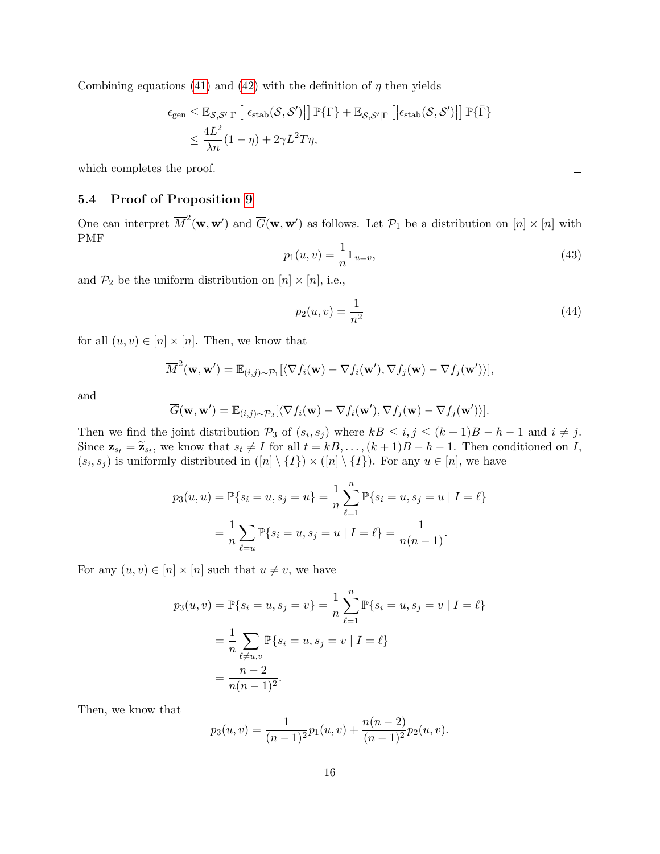Combining equations [\(41\)](#page-14-3) and [\(42\)](#page-14-4) with the definition of  $\eta$  then yields

$$
\epsilon_{\text{gen}} \leq \mathbb{E}_{\mathcal{S},\mathcal{S}'|\Gamma} \left[ \left| \epsilon_{\text{stab}}(\mathcal{S},\mathcal{S}') \right| \right] \mathbb{P} \{ \Gamma \} + \mathbb{E}_{\mathcal{S},\mathcal{S}'|\bar{\Gamma}} \left[ \left| \epsilon_{\text{stab}}(\mathcal{S},\mathcal{S}') \right| \right] \mathbb{P} \{ \bar{\Gamma} \} \right] \n\leq \frac{4L^2}{\lambda n} (1-\eta) + 2\gamma L^2 T \eta,
$$

which completes the proof.

## <span id="page-15-0"></span>5.4 Proof of Proposition [9](#page-11-1)

One can interpret  $\overline{M}^2(\mathbf{w},\mathbf{w}')$  and  $\overline{G}(\mathbf{w},\mathbf{w}')$  as follows. Let  $\mathcal{P}_1$  be a distribution on  $[n] \times [n]$  with PMF

$$
p_1(u,v) = \frac{1}{n} \mathbb{1}_{u=v},\tag{43}
$$

and  $\mathcal{P}_2$  be the uniform distribution on  $[n] \times [n]$ , i.e.,

$$
p_2(u, v) = \frac{1}{n^2} \tag{44}
$$

for all  $(u, v) \in [n] \times [n]$ . Then, we know that

$$
\overline{M}^2(\mathbf{w},\mathbf{w}') = \mathbb{E}_{(i,j)\sim\mathcal{P}_1}[\langle \nabla f_i(\mathbf{w}) - \nabla f_i(\mathbf{w}'), \nabla f_j(\mathbf{w}) - \nabla f_j(\mathbf{w}')\rangle],
$$

and

$$
\overline{G}(\mathbf{w},\mathbf{w}') = \mathbb{E}_{(i,j)\sim\mathcal{P}_2}[\langle \nabla f_i(\mathbf{w}) - \nabla f_i(\mathbf{w}'), \nabla f_j(\mathbf{w}) - \nabla f_j(\mathbf{w}')\rangle].
$$

Then we find the joint distribution  $\mathcal{P}_3$  of  $(s_i, s_j)$  where  $kB \leq i, j \leq (k+1)B - h - 1$  and  $i \neq j$ . Since  $\mathbf{z}_{s_t} = \widetilde{\mathbf{z}}_{s_t}$ , we know that  $s_t \neq I$  for all  $t = kB, \ldots, (k+1)B - h - 1$ . Then conditioned on I,  $(s_i, s_j)$  is uniformly distributed in  $([n] \setminus \{I\}) \times ([n] \setminus \{I\})$ . For any  $u \in [n]$ , we have

$$
p_3(u, u) = \mathbb{P}\{s_i = u, s_j = u\} = \frac{1}{n} \sum_{\ell=1}^n \mathbb{P}\{s_i = u, s_j = u \mid I = \ell\} = \frac{1}{n} \sum_{\ell=u} \mathbb{P}\{s_i = u, s_j = u \mid I = \ell\} = \frac{1}{n(n-1)}.
$$

For any  $(u, v) \in [n] \times [n]$  such that  $u \neq v$ , we have

$$
p_3(u, v) = \mathbb{P}\{s_i = u, s_j = v\} = \frac{1}{n} \sum_{\ell=1}^n \mathbb{P}\{s_i = u, s_j = v \mid I = \ell\}
$$

$$
= \frac{1}{n} \sum_{\ell \neq u, v} \mathbb{P}\{s_i = u, s_j = v \mid I = \ell\}
$$

$$
= \frac{n-2}{n(n-1)^2}.
$$

Then, we know that

$$
p_3(u,v) = \frac{1}{(n-1)^2}p_1(u,v) + \frac{n(n-2)}{(n-1)^2}p_2(u,v).
$$